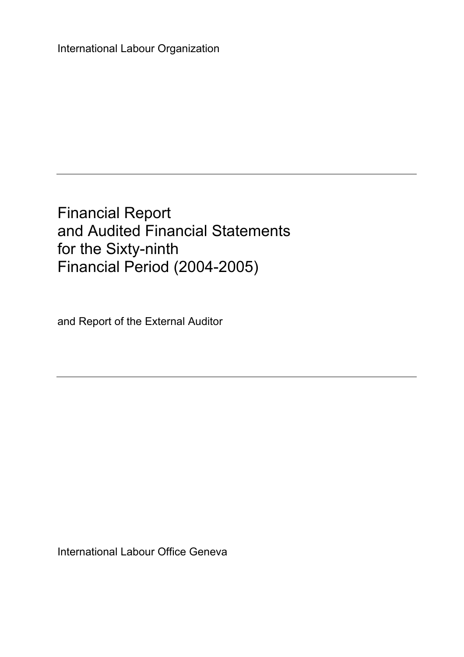International Labour Organization

Financial Report and Audited Financial Statements for the Sixty-ninth Financial Period (2004-2005)

and Report of the External Auditor

International Labour Office Geneva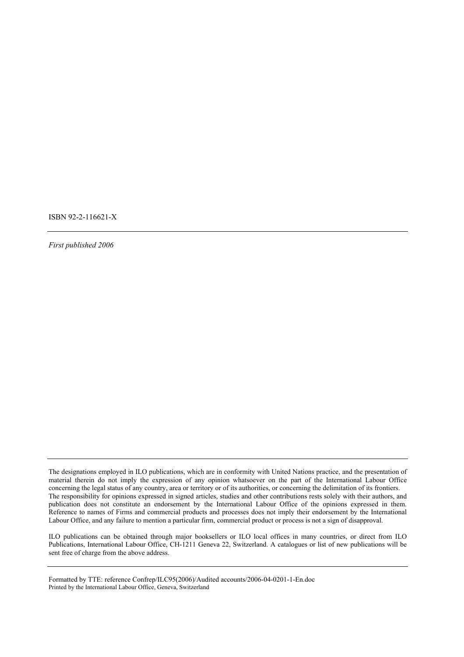ISBN 92-2-116621-X

*First published 2006* 

ILO publications can be obtained through major booksellers or ILO local offices in many countries, or direct from ILO Publications, International Labour Office, CH-1211 Geneva 22, Switzerland. A catalogues or list of new publications will be sent free of charge from the above address.

The designations employed in ILO publications, which are in conformity with United Nations practice, and the presentation of material therein do not imply the expression of any opinion whatsoever on the part of the International Labour Office concerning the legal status of any country, area or territory or of its authorities, or concerning the delimitation of its frontiers. The responsibility for opinions expressed in signed articles, studies and other contributions rests solely with their authors, and publication does not constitute an endorsement by the International Labour Office of the opinions expressed in them. Reference to names of Firms and commercial products and processes does not imply their endorsement by the International Labour Office, and any failure to mention a particular firm, commercial product or process is not a sign of disapproval.

Formatted by TTE: reference Confrep/ILC95(2006)/Audited accounts/2006-04-0201-1-En.doc Printed by the International Labour Office, Geneva, Switzerland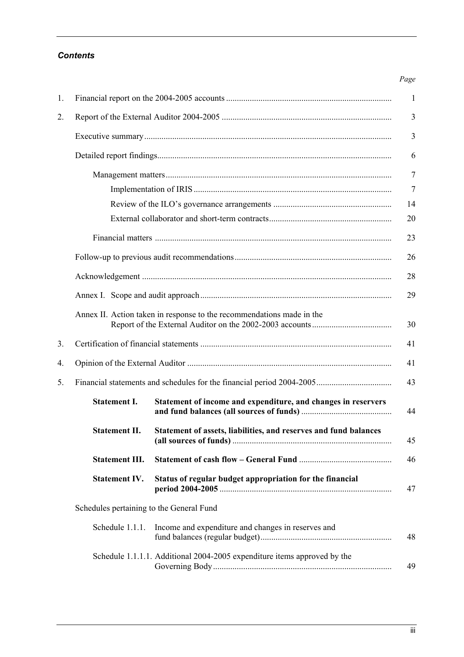# *Contents*

| 1. |                                                                       |                                                                          |  |
|----|-----------------------------------------------------------------------|--------------------------------------------------------------------------|--|
| 2. |                                                                       |                                                                          |  |
|    |                                                                       |                                                                          |  |
|    |                                                                       |                                                                          |  |
|    |                                                                       |                                                                          |  |
|    |                                                                       |                                                                          |  |
|    |                                                                       |                                                                          |  |
|    |                                                                       |                                                                          |  |
|    |                                                                       |                                                                          |  |
|    |                                                                       |                                                                          |  |
|    |                                                                       |                                                                          |  |
|    |                                                                       |                                                                          |  |
|    | Annex II. Action taken in response to the recommendations made in the |                                                                          |  |
| 3. |                                                                       |                                                                          |  |
| 4. |                                                                       |                                                                          |  |
| 5. |                                                                       |                                                                          |  |
|    | <b>Statement I.</b>                                                   | Statement of income and expenditure, and changes in reservers            |  |
|    | <b>Statement II.</b>                                                  | Statement of assets, liabilities, and reserves and fund balances         |  |
|    | <b>Statement III.</b>                                                 |                                                                          |  |
|    | <b>Statement IV.</b>                                                  | Status of regular budget appropriation for the financial                 |  |
|    | Schedules pertaining to the General Fund                              |                                                                          |  |
|    | Schedule 1.1.1.                                                       | Income and expenditure and changes in reserves and                       |  |
|    |                                                                       | Schedule 1.1.1.1. Additional 2004-2005 expenditure items approved by the |  |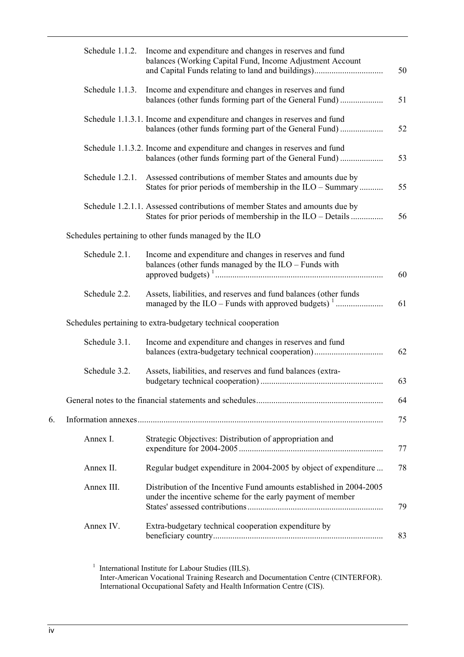|    | Schedule 1.1.2. | Income and expenditure and changes in reserves and fund<br>balances (Working Capital Fund, Income Adjustment Account<br>and Capital Funds relating to land and buildings) |
|----|-----------------|---------------------------------------------------------------------------------------------------------------------------------------------------------------------------|
|    | Schedule 1.1.3. | Income and expenditure and changes in reserves and fund<br>balances (other funds forming part of the General Fund)                                                        |
|    |                 | Schedule 1.1.3.1. Income and expenditure and changes in reserves and fund<br>balances (other funds forming part of the General Fund)                                      |
|    |                 | Schedule 1.1.3.2. Income and expenditure and changes in reserves and fund<br>balances (other funds forming part of the General Fund)                                      |
|    | Schedule 1.2.1. | Assessed contributions of member States and amounts due by<br>States for prior periods of membership in the ILO – Summary                                                 |
|    |                 | Schedule 1.2.1.1. Assessed contributions of member States and amounts due by<br>States for prior periods of membership in the ILO – Details                               |
|    |                 | Schedules pertaining to other funds managed by the ILO                                                                                                                    |
|    | Schedule 2.1.   | Income and expenditure and changes in reserves and fund<br>balances (other funds managed by the ILO - Funds with                                                          |
|    | Schedule 2.2.   | Assets, liabilities, and reserves and fund balances (other funds                                                                                                          |
|    |                 | Schedules pertaining to extra-budgetary technical cooperation                                                                                                             |
|    | Schedule 3.1.   | Income and expenditure and changes in reserves and fund<br>balances (extra-budgetary technical cooperation)                                                               |
|    | Schedule 3.2.   | Assets, liabilities, and reserves and fund balances (extra-                                                                                                               |
|    |                 |                                                                                                                                                                           |
| 6. |                 |                                                                                                                                                                           |
|    | Annex I.        | Strategic Objectives: Distribution of appropriation and                                                                                                                   |
|    | Annex II.       | Regular budget expenditure in 2004-2005 by object of expenditure                                                                                                          |
|    | Annex III.      | Distribution of the Incentive Fund amounts established in 2004-2005<br>under the incentive scheme for the early payment of member                                         |
|    | Annex IV.       | Extra-budgetary technical cooperation expenditure by                                                                                                                      |

<sup>1</sup> International Institute for Labour Studies (IILS). Inter-American Vocational Training Research and Documentation Centre (CINTERFOR). International Occupational Safety and Health Information Centre (CIS).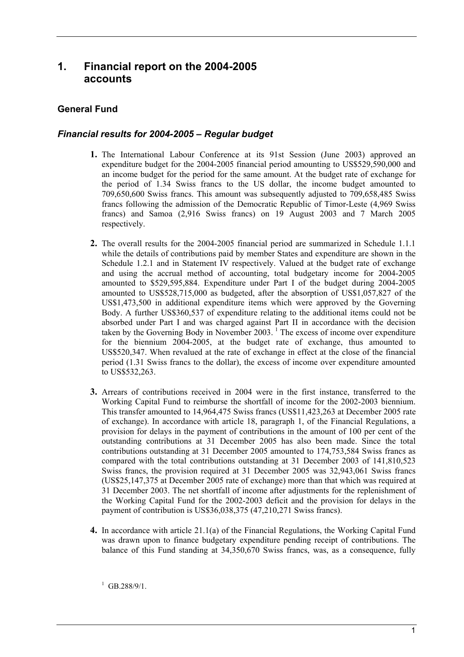# **1. Financial report on the 2004-2005 accounts**

# **General Fund**

# *Financial results for 2004-2005 – Regular budget*

- **1.** The International Labour Conference at its 91st Session (June 2003) approved an expenditure budget for the 2004-2005 financial period amounting to US\$529,590,000 and an income budget for the period for the same amount. At the budget rate of exchange for the period of 1.34 Swiss francs to the US dollar, the income budget amounted to 709,650,600 Swiss francs. This amount was subsequently adjusted to 709,658,485 Swiss francs following the admission of the Democratic Republic of Timor-Leste (4,969 Swiss francs) and Samoa (2,916 Swiss francs) on 19 August 2003 and 7 March 2005 respectively.
- **2.** The overall results for the 2004-2005 financial period are summarized in Schedule 1.1.1 while the details of contributions paid by member States and expenditure are shown in the Schedule 1.2.1 and in Statement IV respectively. Valued at the budget rate of exchange and using the accrual method of accounting, total budgetary income for 2004-2005 amounted to \$529,595,884. Expenditure under Part I of the budget during 2004-2005 amounted to US\$528,715,000 as budgeted, after the absorption of US\$1,057,827 of the US\$1,473,500 in additional expenditure items which were approved by the Governing Body. A further US\$360,537 of expenditure relating to the additional items could not be absorbed under Part I and was charged against Part II in accordance with the decision taken by the Governing Body in November 2003.<sup>1</sup> The excess of income over expenditure for the biennium 2004-2005, at the budget rate of exchange, thus amounted to US\$520,347. When revalued at the rate of exchange in effect at the close of the financial period (1.31 Swiss francs to the dollar), the excess of income over expenditure amounted to US\$532,263.
- **3.** Arrears of contributions received in 2004 were in the first instance, transferred to the Working Capital Fund to reimburse the shortfall of income for the 2002-2003 biennium. This transfer amounted to 14,964,475 Swiss francs (US\$11,423,263 at December 2005 rate of exchange). In accordance with article 18, paragraph 1, of the Financial Regulations, a provision for delays in the payment of contributions in the amount of 100 per cent of the outstanding contributions at 31 December 2005 has also been made. Since the total contributions outstanding at 31 December 2005 amounted to 174,753,584 Swiss francs as compared with the total contributions outstanding at 31 December 2003 of 141,810,523 Swiss francs, the provision required at 31 December 2005 was 32,943,061 Swiss francs (US\$25,147,375 at December 2005 rate of exchange) more than that which was required at 31 December 2003. The net shortfall of income after adjustments for the replenishment of the Working Capital Fund for the 2002-2003 deficit and the provision for delays in the payment of contribution is US\$36,038,375 (47,210,271 Swiss francs).
- **4.** In accordance with article 21.1(a) of the Financial Regulations, the Working Capital Fund was drawn upon to finance budgetary expenditure pending receipt of contributions. The balance of this Fund standing at 34,350,670 Swiss francs, was, as a consequence, fully

 $^{1}$  GB.288/9/1.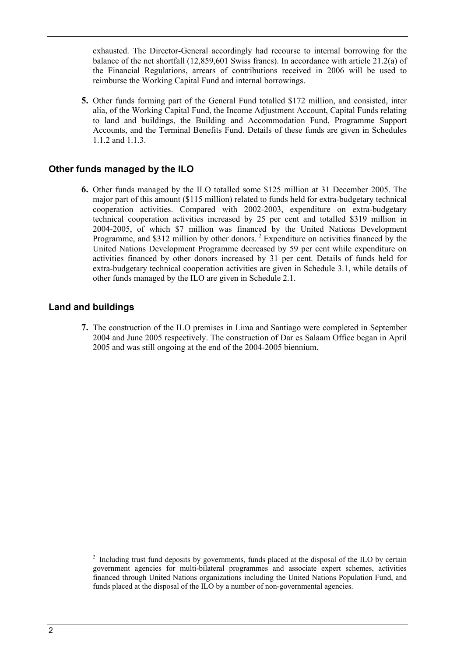exhausted. The Director-General accordingly had recourse to internal borrowing for the balance of the net shortfall (12,859,601 Swiss francs). In accordance with article 21.2(a) of the Financial Regulations, arrears of contributions received in 2006 will be used to reimburse the Working Capital Fund and internal borrowings.

**5.** Other funds forming part of the General Fund totalled \$172 million, and consisted, inter alia, of the Working Capital Fund, the Income Adjustment Account, Capital Funds relating to land and buildings, the Building and Accommodation Fund, Programme Support Accounts, and the Terminal Benefits Fund. Details of these funds are given in Schedules 1.1.2 and 1.1.3.

# **Other funds managed by the ILO**

**6.** Other funds managed by the ILO totalled some \$125 million at 31 December 2005. The major part of this amount (\$115 million) related to funds held for extra-budgetary technical cooperation activities. Compared with 2002-2003, expenditure on extra-budgetary technical cooperation activities increased by 25 per cent and totalled \$319 million in 2004-2005, of which \$7 million was financed by the United Nations Development Programme, and \$312 million by other donors.<sup>2</sup> Expenditure on activities financed by the United Nations Development Programme decreased by 59 per cent while expenditure on activities financed by other donors increased by 31 per cent. Details of funds held for extra-budgetary technical cooperation activities are given in Schedule 3.1, while details of other funds managed by the ILO are given in Schedule 2.1.

# **Land and buildings**

**7.** The construction of the ILO premises in Lima and Santiago were completed in September 2004 and June 2005 respectively. The construction of Dar es Salaam Office began in April 2005 and was still ongoing at the end of the 2004-2005 biennium.

 $2$  Including trust fund deposits by governments, funds placed at the disposal of the ILO by certain government agencies for multi-bilateral programmes and associate expert schemes, activities financed through United Nations organizations including the United Nations Population Fund, and funds placed at the disposal of the ILO by a number of non-governmental agencies.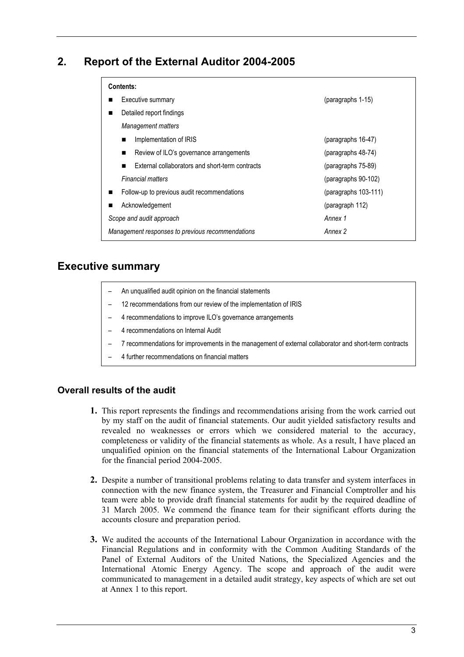# **2. Report of the External Auditor 2004-2005**

| Contents:            |  |  |  |  |  |  |
|----------------------|--|--|--|--|--|--|
| (paragraphs 1-15)    |  |  |  |  |  |  |
|                      |  |  |  |  |  |  |
|                      |  |  |  |  |  |  |
| (paragraphs 16-47)   |  |  |  |  |  |  |
| (paragraphs 48-74)   |  |  |  |  |  |  |
| (paragraphs 75-89)   |  |  |  |  |  |  |
| (paragraphs 90-102)  |  |  |  |  |  |  |
| (paragraphs 103-111) |  |  |  |  |  |  |
| (paragraph 112)      |  |  |  |  |  |  |
| Annex 1              |  |  |  |  |  |  |
| Annex 2              |  |  |  |  |  |  |
|                      |  |  |  |  |  |  |

# **Executive summary**

|  | An unqualified audit opinion on the financial statements |  |
|--|----------------------------------------------------------|--|
|--|----------------------------------------------------------|--|

- 12 recommendations from our review of the implementation of IRIS
- 4 recommendations to improve ILO's governance arrangements
- 4 recommendations on Internal Audit
- ñ 7 recommendations for improvements in the management of external collaborator and short-term contracts
- 4 further recommendations on financial matters

# **Overall results of the audit**

- **1.** This report represents the findings and recommendations arising from the work carried out by my staff on the audit of financial statements. Our audit yielded satisfactory results and revealed no weaknesses or errors which we considered material to the accuracy, completeness or validity of the financial statements as whole. As a result, I have placed an unqualified opinion on the financial statements of the International Labour Organization for the financial period 2004-2005.
- **2.** Despite a number of transitional problems relating to data transfer and system interfaces in connection with the new finance system, the Treasurer and Financial Comptroller and his team were able to provide draft financial statements for audit by the required deadline of 31 March 2005. We commend the finance team for their significant efforts during the accounts closure and preparation period.
- **3.** We audited the accounts of the International Labour Organization in accordance with the Financial Regulations and in conformity with the Common Auditing Standards of the Panel of External Auditors of the United Nations, the Specialized Agencies and the International Atomic Energy Agency. The scope and approach of the audit were communicated to management in a detailed audit strategy, key aspects of which are set out at Annex 1 to this report.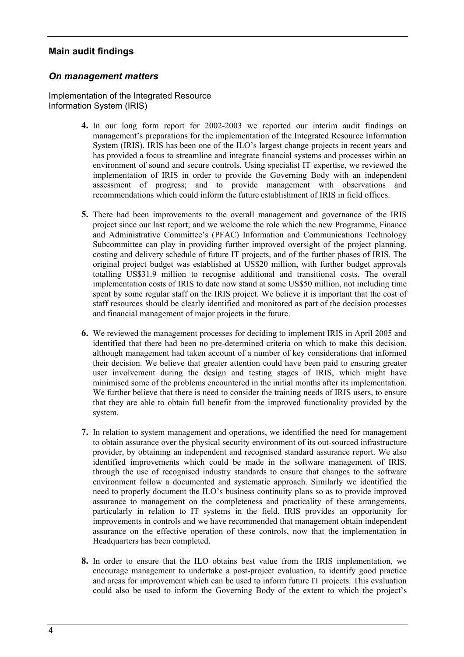# **Main audit findings**

# *On management matters*

Implementation of the Integrated Resource Information System (IRIS)

- **4.** In our long form report for 2002-2003 we reported our interim audit findings on management's preparations for the implementation of the Integrated Resource Information System (IRIS). IRIS has been one of the ILO's largest change projects in recent years and has provided a focus to streamline and integrate financial systems and processes within an environment of sound and secure controls. Using specialist IT expertise, we reviewed the implementation of IRIS in order to provide the Governing Body with an independent assessment of progress; and to provide management with observations and recommendations which could inform the future establishment of IRIS in field offices.
- **5.** There had been improvements to the overall management and governance of the IRIS project since our last report; and we welcome the role which the new Programme, Finance and Administrative Committee's (PFAC) Information and Communications Technology Subcommittee can play in providing further improved oversight of the project planning, costing and delivery schedule of future IT projects, and of the further phases of IRIS. The original project budget was established at US\$20 million, with further budget approvals totalling US\$31.9 million to recognise additional and transitional costs. The overall implementation costs of IRIS to date now stand at some US\$50 million, not including time spent by some regular staff on the IRIS project. We believe it is important that the cost of staff resources should be clearly identified and monitored as part of the decision processes and financial management of major projects in the future.
- **6.** We reviewed the management processes for deciding to implement IRIS in April 2005 and identified that there had been no pre-determined criteria on which to make this decision, although management had taken account of a number of key considerations that informed their decision. We believe that greater attention could have been paid to ensuring greater user involvement during the design and testing stages of IRIS, which might have minimised some of the problems encountered in the initial months after its implementation. We further believe that there is need to consider the training needs of IRIS users, to ensure that they are able to obtain full benefit from the improved functionality provided by the system.
- **7.** In relation to system management and operations, we identified the need for management to obtain assurance over the physical security environment of its out-sourced infrastructure provider, by obtaining an independent and recognised standard assurance report. We also identified improvements which could be made in the software management of IRIS, through the use of recognised industry standards to ensure that changes to the software environment follow a documented and systematic approach. Similarly we identified the need to properly document the ILO's business continuity plans so as to provide improved assurance to management on the completeness and practicality of these arrangements, particularly in relation to IT systems in the field. IRIS provides an opportunity for improvements in controls and we have recommended that management obtain independent assurance on the effective operation of these controls, now that the implementation in Headquarters has been completed.
- **8.** In order to ensure that the ILO obtains best value from the IRIS implementation, we encourage management to undertake a post-project evaluation, to identify good practice and areas for improvement which can be used to inform future IT projects. This evaluation could also be used to inform the Governing Body of the extent to which the project's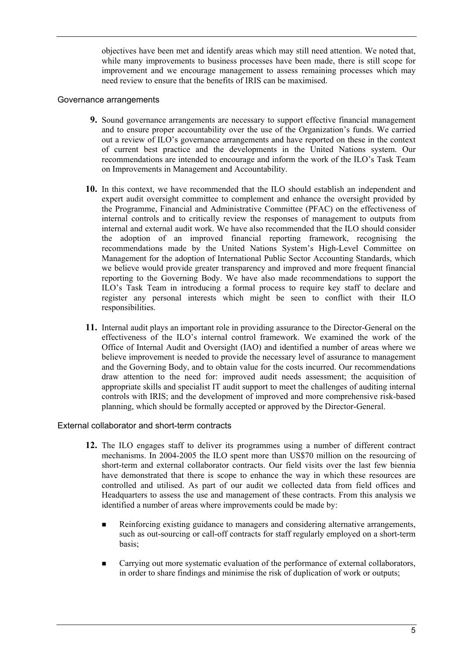objectives have been met and identify areas which may still need attention. We noted that, while many improvements to business processes have been made, there is still scope for improvement and we encourage management to assess remaining processes which may need review to ensure that the benefits of IRIS can be maximised.

### Governance arrangements

- **9.** Sound governance arrangements are necessary to support effective financial management and to ensure proper accountability over the use of the Organization's funds. We carried out a review of ILOís governance arrangements and have reported on these in the context of current best practice and the developments in the United Nations system. Our recommendations are intended to encourage and inform the work of the ILO's Task Team on Improvements in Management and Accountability.
- **10.** In this context, we have recommended that the ILO should establish an independent and expert audit oversight committee to complement and enhance the oversight provided by the Programme, Financial and Administrative Committee (PFAC) on the effectiveness of internal controls and to critically review the responses of management to outputs from internal and external audit work. We have also recommended that the ILO should consider the adoption of an improved financial reporting framework, recognising the recommendations made by the United Nations System's High-Level Committee on Management for the adoption of International Public Sector Accounting Standards, which we believe would provide greater transparency and improved and more frequent financial reporting to the Governing Body. We have also made recommendations to support the ILOís Task Team in introducing a formal process to require key staff to declare and register any personal interests which might be seen to conflict with their ILO responsibilities.
- **11.** Internal audit plays an important role in providing assurance to the Director-General on the effectiveness of the ILO's internal control framework. We examined the work of the Office of Internal Audit and Oversight (IAO) and identified a number of areas where we believe improvement is needed to provide the necessary level of assurance to management and the Governing Body, and to obtain value for the costs incurred. Our recommendations draw attention to the need for: improved audit needs assessment; the acquisition of appropriate skills and specialist IT audit support to meet the challenges of auditing internal controls with IRIS; and the development of improved and more comprehensive risk-based planning, which should be formally accepted or approved by the Director-General.

#### External collaborator and short-term contracts

- **12.** The ILO engages staff to deliver its programmes using a number of different contract mechanisms. In 2004-2005 the ILO spent more than US\$70 million on the resourcing of short-term and external collaborator contracts. Our field visits over the last few biennia have demonstrated that there is scope to enhance the way in which these resources are controlled and utilised. As part of our audit we collected data from field offices and Headquarters to assess the use and management of these contracts. From this analysis we identified a number of areas where improvements could be made by:
	- ! Reinforcing existing guidance to managers and considering alternative arrangements, such as out-sourcing or call-off contracts for staff regularly employed on a short-term basis;
	- ! Carrying out more systematic evaluation of the performance of external collaborators, in order to share findings and minimise the risk of duplication of work or outputs;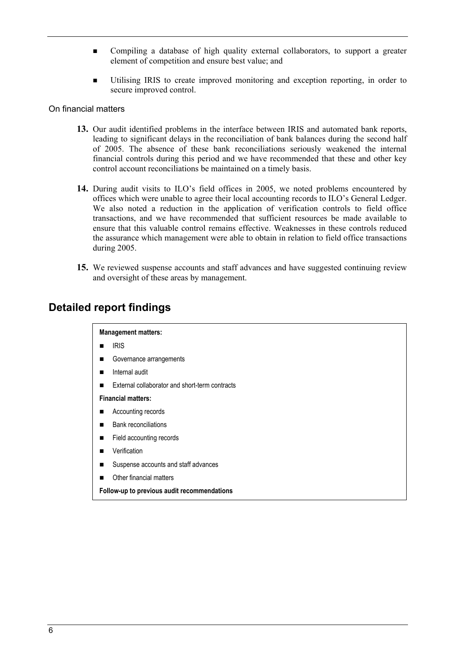- ! Compiling a database of high quality external collaborators, to support a greater element of competition and ensure best value; and
- ! Utilising IRIS to create improved monitoring and exception reporting, in order to secure improved control.

#### On financial matters

- **13.** Our audit identified problems in the interface between IRIS and automated bank reports, leading to significant delays in the reconciliation of bank balances during the second half of 2005. The absence of these bank reconciliations seriously weakened the internal financial controls during this period and we have recommended that these and other key control account reconciliations be maintained on a timely basis.
- 14. During audit visits to ILO's field offices in 2005, we noted problems encountered by offices which were unable to agree their local accounting records to ILO's General Ledger. We also noted a reduction in the application of verification controls to field office transactions, and we have recommended that sufficient resources be made available to ensure that this valuable control remains effective. Weaknesses in these controls reduced the assurance which management were able to obtain in relation to field office transactions during 2005.
- **15.** We reviewed suspense accounts and staff advances and have suggested continuing review and oversight of these areas by management.

# **Detailed report findings**

#### **Management matters:**

- **IRIS**
- Governance arrangements
- $\blacksquare$  Internal audit
- ! External collaborator and short-term contracts

#### **Financial matters:**

- Accounting records
- **Bank reconciliations**
- Field accounting records
- **Verification**
- Suspense accounts and staff advances
- **In Other financial matters**

**Follow-up to previous audit recommendations**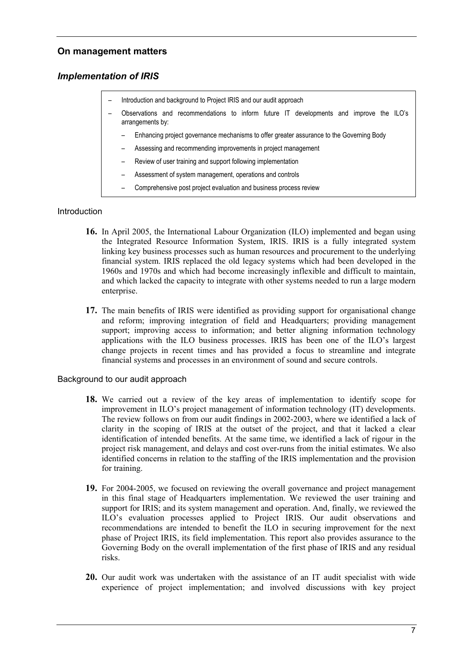# **On management matters**

# *Implementation of IRIS*

- Introduction and background to Project IRIS and our audit approach Observations and recommendations to inform future IT developments and improve the ILO's arrangements by:
	- Enhancing project governance mechanisms to offer greater assurance to the Governing Body
	- Assessing and recommending improvements in project management
	- Review of user training and support following implementation
	- Assessment of system management, operations and controls
	- Comprehensive post project evaluation and business process review

### Introduction

- **16.** In April 2005, the International Labour Organization (ILO) implemented and began using the Integrated Resource Information System, IRIS. IRIS is a fully integrated system linking key business processes such as human resources and procurement to the underlying financial system. IRIS replaced the old legacy systems which had been developed in the 1960s and 1970s and which had become increasingly inflexible and difficult to maintain, and which lacked the capacity to integrate with other systems needed to run a large modern enterprise.
- **17.** The main benefits of IRIS were identified as providing support for organisational change and reform; improving integration of field and Headquarters; providing management support; improving access to information; and better aligning information technology applications with the ILO business processes. IRIS has been one of the ILO's largest change projects in recent times and has provided a focus to streamline and integrate financial systems and processes in an environment of sound and secure controls.

#### Background to our audit approach

- **18.** We carried out a review of the key areas of implementation to identify scope for improvement in ILO's project management of information technology (IT) developments. The review follows on from our audit findings in 2002-2003, where we identified a lack of clarity in the scoping of IRIS at the outset of the project, and that it lacked a clear identification of intended benefits. At the same time, we identified a lack of rigour in the project risk management, and delays and cost over-runs from the initial estimates. We also identified concerns in relation to the staffing of the IRIS implementation and the provision for training.
- **19.** For 2004-2005, we focused on reviewing the overall governance and project management in this final stage of Headquarters implementation. We reviewed the user training and support for IRIS; and its system management and operation. And, finally, we reviewed the ILO's evaluation processes applied to Project IRIS. Our audit observations and recommendations are intended to benefit the ILO in securing improvement for the next phase of Project IRIS, its field implementation. This report also provides assurance to the Governing Body on the overall implementation of the first phase of IRIS and any residual risks.
- **20.** Our audit work was undertaken with the assistance of an IT audit specialist with wide experience of project implementation; and involved discussions with key project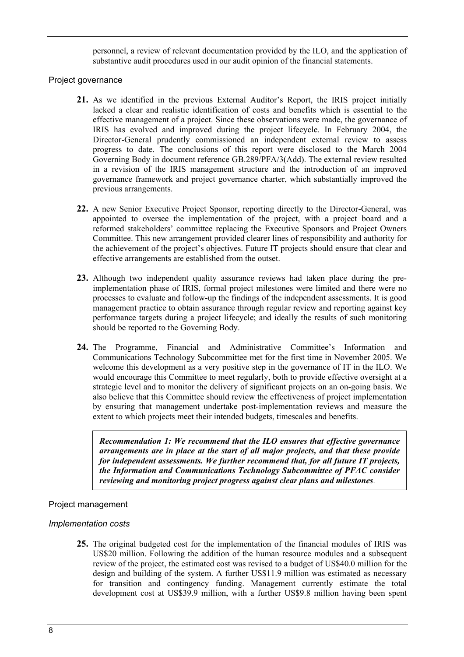personnel, a review of relevant documentation provided by the ILO, and the application of substantive audit procedures used in our audit opinion of the financial statements.

### Project governance

- **21.** As we identified in the previous External Auditor's Report, the IRIS project initially lacked a clear and realistic identification of costs and benefits which is essential to the effective management of a project. Since these observations were made, the governance of IRIS has evolved and improved during the project lifecycle. In February 2004, the Director-General prudently commissioned an independent external review to assess progress to date. The conclusions of this report were disclosed to the March 2004 Governing Body in document reference GB.289/PFA/3(Add). The external review resulted in a revision of the IRIS management structure and the introduction of an improved governance framework and project governance charter, which substantially improved the previous arrangements.
- **22.** A new Senior Executive Project Sponsor, reporting directly to the Director-General, was appointed to oversee the implementation of the project, with a project board and a reformed stakeholders' committee replacing the Executive Sponsors and Project Owners Committee. This new arrangement provided clearer lines of responsibility and authority for the achievement of the project's objectives. Future IT projects should ensure that clear and effective arrangements are established from the outset.
- **23.** Although two independent quality assurance reviews had taken place during the preimplementation phase of IRIS, formal project milestones were limited and there were no processes to evaluate and follow-up the findings of the independent assessments. It is good management practice to obtain assurance through regular review and reporting against key performance targets during a project lifecycle; and ideally the results of such monitoring should be reported to the Governing Body.
- 24. The Programme, Financial and Administrative Committee's Information and Communications Technology Subcommittee met for the first time in November 2005. We welcome this development as a very positive step in the governance of IT in the ILO. We would encourage this Committee to meet regularly, both to provide effective oversight at a strategic level and to monitor the delivery of significant projects on an on-going basis. We also believe that this Committee should review the effectiveness of project implementation by ensuring that management undertake post-implementation reviews and measure the extent to which projects meet their intended budgets, timescales and benefits.

*Recommendation 1: We recommend that the ILO ensures that effective governance arrangements are in place at the start of all major projects, and that these provide for independent assessments. We further recommend that, for all future IT projects, the Information and Communications Technology Subcommittee of PFAC consider reviewing and monitoring project progress against clear plans and milestones*.

## Project management

## *Implementation costs*

**25.** The original budgeted cost for the implementation of the financial modules of IRIS was US\$20 million. Following the addition of the human resource modules and a subsequent review of the project, the estimated cost was revised to a budget of US\$40.0 million for the design and building of the system. A further US\$11.9 million was estimated as necessary for transition and contingency funding. Management currently estimate the total development cost at US\$39.9 million, with a further US\$9.8 million having been spent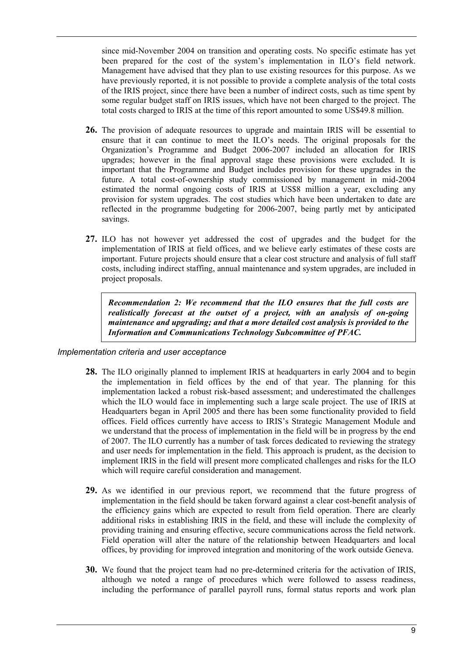since mid-November 2004 on transition and operating costs. No specific estimate has yet been prepared for the cost of the system's implementation in ILO's field network. Management have advised that they plan to use existing resources for this purpose. As we have previously reported, it is not possible to provide a complete analysis of the total costs of the IRIS project, since there have been a number of indirect costs, such as time spent by some regular budget staff on IRIS issues, which have not been charged to the project. The total costs charged to IRIS at the time of this report amounted to some US\$49.8 million.

- **26.** The provision of adequate resources to upgrade and maintain IRIS will be essential to ensure that it can continue to meet the ILO's needs. The original proposals for the Organization's Programme and Budget 2006-2007 included an allocation for IRIS upgrades; however in the final approval stage these provisions were excluded. It is important that the Programme and Budget includes provision for these upgrades in the future. A total cost-of-ownership study commissioned by management in mid-2004 estimated the normal ongoing costs of IRIS at US\$8 million a year, excluding any provision for system upgrades. The cost studies which have been undertaken to date are reflected in the programme budgeting for 2006-2007, being partly met by anticipated savings.
- **27.** ILO has not however yet addressed the cost of upgrades and the budget for the implementation of IRIS at field offices, and we believe early estimates of these costs are important. Future projects should ensure that a clear cost structure and analysis of full staff costs, including indirect staffing, annual maintenance and system upgrades, are included in project proposals.

*Recommendation 2: We recommend that the ILO ensures that the full costs are realistically forecast at the outset of a project, with an analysis of on-going maintenance and upgrading; and that a more detailed cost analysis is provided to the Information and Communications Technology Subcommittee of PFAC.* 

#### *Implementation criteria and user acceptance*

- **28.** The ILO originally planned to implement IRIS at headquarters in early 2004 and to begin the implementation in field offices by the end of that year. The planning for this implementation lacked a robust risk-based assessment; and underestimated the challenges which the ILO would face in implementing such a large scale project. The use of IRIS at Headquarters began in April 2005 and there has been some functionality provided to field offices. Field offices currently have access to IRIS's Strategic Management Module and we understand that the process of implementation in the field will be in progress by the end of 2007. The ILO currently has a number of task forces dedicated to reviewing the strategy and user needs for implementation in the field. This approach is prudent, as the decision to implement IRIS in the field will present more complicated challenges and risks for the ILO which will require careful consideration and management.
- **29.** As we identified in our previous report, we recommend that the future progress of implementation in the field should be taken forward against a clear cost-benefit analysis of the efficiency gains which are expected to result from field operation. There are clearly additional risks in establishing IRIS in the field, and these will include the complexity of providing training and ensuring effective, secure communications across the field network. Field operation will alter the nature of the relationship between Headquarters and local offices, by providing for improved integration and monitoring of the work outside Geneva.
- **30.** We found that the project team had no pre-determined criteria for the activation of IRIS, although we noted a range of procedures which were followed to assess readiness, including the performance of parallel payroll runs, formal status reports and work plan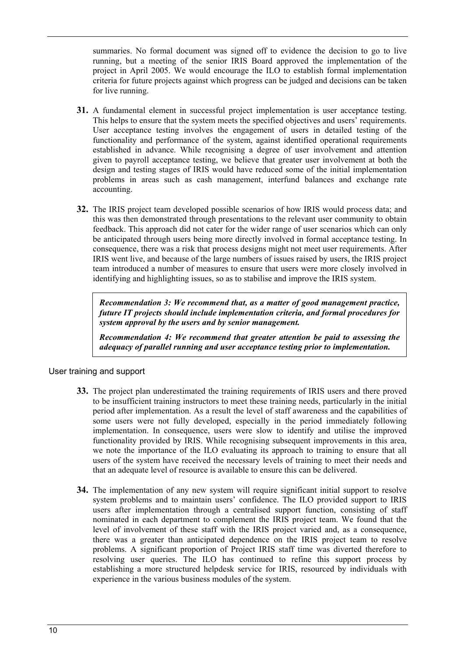summaries. No formal document was signed off to evidence the decision to go to live running, but a meeting of the senior IRIS Board approved the implementation of the project in April 2005. We would encourage the ILO to establish formal implementation criteria for future projects against which progress can be judged and decisions can be taken for live running.

- **31.** A fundamental element in successful project implementation is user acceptance testing. This helps to ensure that the system meets the specified objectives and users' requirements. User acceptance testing involves the engagement of users in detailed testing of the functionality and performance of the system, against identified operational requirements established in advance. While recognising a degree of user involvement and attention given to payroll acceptance testing, we believe that greater user involvement at both the design and testing stages of IRIS would have reduced some of the initial implementation problems in areas such as cash management, interfund balances and exchange rate accounting.
- **32.** The IRIS project team developed possible scenarios of how IRIS would process data; and this was then demonstrated through presentations to the relevant user community to obtain feedback. This approach did not cater for the wider range of user scenarios which can only be anticipated through users being more directly involved in formal acceptance testing. In consequence, there was a risk that process designs might not meet user requirements. After IRIS went live, and because of the large numbers of issues raised by users, the IRIS project team introduced a number of measures to ensure that users were more closely involved in identifying and highlighting issues, so as to stabilise and improve the IRIS system.

*Recommendation 3: We recommend that, as a matter of good management practice, future IT projects should include implementation criteria, and formal procedures for system approval by the users and by senior management.* 

*Recommendation 4: We recommend that greater attention be paid to assessing the adequacy of parallel running and user acceptance testing prior to implementation.* 

## User training and support

- **33.** The project plan underestimated the training requirements of IRIS users and there proved to be insufficient training instructors to meet these training needs, particularly in the initial period after implementation. As a result the level of staff awareness and the capabilities of some users were not fully developed, especially in the period immediately following implementation. In consequence, users were slow to identify and utilise the improved functionality provided by IRIS. While recognising subsequent improvements in this area, we note the importance of the ILO evaluating its approach to training to ensure that all users of the system have received the necessary levels of training to meet their needs and that an adequate level of resource is available to ensure this can be delivered.
- **34.** The implementation of any new system will require significant initial support to resolve system problems and to maintain users' confidence. The ILO provided support to IRIS users after implementation through a centralised support function, consisting of staff nominated in each department to complement the IRIS project team. We found that the level of involvement of these staff with the IRIS project varied and, as a consequence, there was a greater than anticipated dependence on the IRIS project team to resolve problems. A significant proportion of Project IRIS staff time was diverted therefore to resolving user queries. The ILO has continued to refine this support process by establishing a more structured helpdesk service for IRIS, resourced by individuals with experience in the various business modules of the system.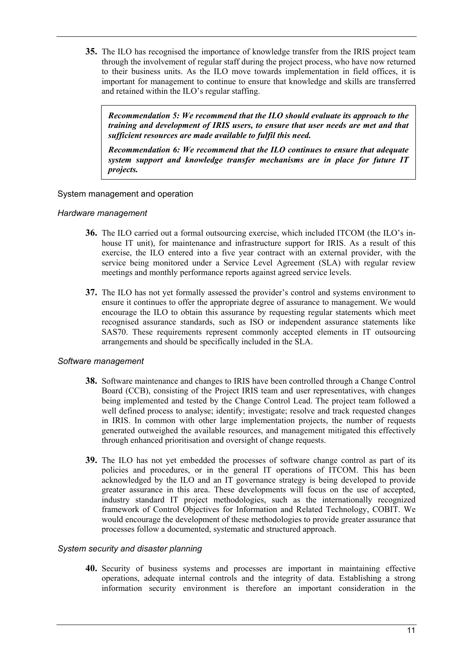**35.** The ILO has recognised the importance of knowledge transfer from the IRIS project team through the involvement of regular staff during the project process, who have now returned to their business units. As the ILO move towards implementation in field offices, it is important for management to continue to ensure that knowledge and skills are transferred and retained within the ILO's regular staffing.

*Recommendation 5: We recommend that the ILO should evaluate its approach to the training and development of IRIS users, to ensure that user needs are met and that sufficient resources are made available to fulfil this need.* 

*Recommendation 6: We recommend that the ILO continues to ensure that adequate system support and knowledge transfer mechanisms are in place for future IT projects.* 

## System management and operation

### *Hardware management*

- **36.** The ILO carried out a formal outsourcing exercise, which included ITCOM (the ILO's inhouse IT unit), for maintenance and infrastructure support for IRIS. As a result of this exercise, the ILO entered into a five year contract with an external provider, with the service being monitored under a Service Level Agreement (SLA) with regular review meetings and monthly performance reports against agreed service levels.
- **37.** The ILO has not yet formally assessed the provider's control and systems environment to ensure it continues to offer the appropriate degree of assurance to management. We would encourage the ILO to obtain this assurance by requesting regular statements which meet recognised assurance standards, such as ISO or independent assurance statements like SAS70. These requirements represent commonly accepted elements in IT outsourcing arrangements and should be specifically included in the SLA.

## *Software management*

- **38.** Software maintenance and changes to IRIS have been controlled through a Change Control Board (CCB), consisting of the Project IRIS team and user representatives, with changes being implemented and tested by the Change Control Lead. The project team followed a well defined process to analyse; identify; investigate; resolve and track requested changes in IRIS. In common with other large implementation projects, the number of requests generated outweighed the available resources, and management mitigated this effectively through enhanced prioritisation and oversight of change requests.
- **39.** The ILO has not yet embedded the processes of software change control as part of its policies and procedures, or in the general IT operations of ITCOM. This has been acknowledged by the ILO and an IT governance strategy is being developed to provide greater assurance in this area. These developments will focus on the use of accepted, industry standard IT project methodologies, such as the internationally recognized framework of Control Objectives for Information and Related Technology, COBIT. We would encourage the development of these methodologies to provide greater assurance that processes follow a documented, systematic and structured approach.

## *System security and disaster planning*

**40.** Security of business systems and processes are important in maintaining effective operations, adequate internal controls and the integrity of data. Establishing a strong information security environment is therefore an important consideration in the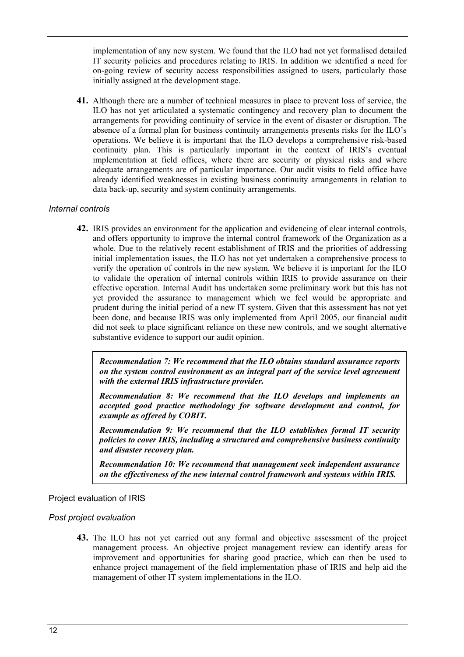implementation of any new system. We found that the ILO had not yet formalised detailed IT security policies and procedures relating to IRIS. In addition we identified a need for on-going review of security access responsibilities assigned to users, particularly those initially assigned at the development stage.

**41.** Although there are a number of technical measures in place to prevent loss of service, the ILO has not yet articulated a systematic contingency and recovery plan to document the arrangements for providing continuity of service in the event of disaster or disruption. The absence of a formal plan for business continuity arrangements presents risks for the ILO's operations. We believe it is important that the ILO develops a comprehensive risk-based continuity plan. This is particularly important in the context of IRIS's eventual implementation at field offices, where there are security or physical risks and where adequate arrangements are of particular importance. Our audit visits to field office have already identified weaknesses in existing business continuity arrangements in relation to data back-up, security and system continuity arrangements.

## *Internal controls*

**42.** IRIS provides an environment for the application and evidencing of clear internal controls, and offers opportunity to improve the internal control framework of the Organization as a whole. Due to the relatively recent establishment of IRIS and the priorities of addressing initial implementation issues, the ILO has not yet undertaken a comprehensive process to verify the operation of controls in the new system. We believe it is important for the ILO to validate the operation of internal controls within IRIS to provide assurance on their effective operation. Internal Audit has undertaken some preliminary work but this has not yet provided the assurance to management which we feel would be appropriate and prudent during the initial period of a new IT system. Given that this assessment has not yet been done, and because IRIS was only implemented from April 2005, our financial audit did not seek to place significant reliance on these new controls, and we sought alternative substantive evidence to support our audit opinion.

*Recommendation 7: We recommend that the ILO obtains standard assurance reports on the system control environment as an integral part of the service level agreement with the external IRIS infrastructure provider.* 

*Recommendation 8: We recommend that the ILO develops and implements an accepted good practice methodology for software development and control, for example as offered by COBIT.* 

*Recommendation 9: We recommend that the ILO establishes formal IT security policies to cover IRIS, including a structured and comprehensive business continuity and disaster recovery plan.* 

*Recommendation 10: We recommend that management seek independent assurance on the effectiveness of the new internal control framework and systems within IRIS.*

#### Project evaluation of IRIS

## *Post project evaluation*

**43.** The ILO has not yet carried out any formal and objective assessment of the project management process. An objective project management review can identify areas for improvement and opportunities for sharing good practice, which can then be used to enhance project management of the field implementation phase of IRIS and help aid the management of other IT system implementations in the ILO.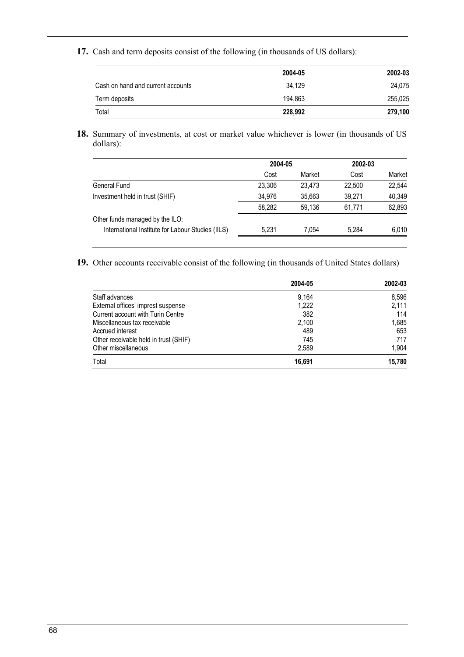**17.** Cash and term deposits consist of the following (in thousands of US dollars):

|                                   | 2004-05 | 2002-03 |
|-----------------------------------|---------|---------|
| Cash on hand and current accounts | 34.129  | 24.075  |
| Term deposits                     | 194.863 | 255,025 |
| Total                             | 228,992 | 279,100 |

**18.** Summary of investments, at cost or market value whichever is lower (in thousands of US dollars):

| Cost   | Market |
|--------|--------|
|        |        |
| 22.500 | 22,544 |
| 39.271 | 40,349 |
| 61.771 | 62,893 |
|        |        |
| 5.284  | 6,010  |
|        |        |

**19.** Other accounts receivable consist of the following (in thousands of United States dollars)

|                                       | 2004-05 | 2002-03 |
|---------------------------------------|---------|---------|
| Staff advances                        | 9.164   | 8.596   |
| External offices' imprest suspense    | 1.222   | 2.111   |
| Current account with Turin Centre     | 382     | 114     |
| Miscellaneous tax receivable          | 2.100   | 1,685   |
| Accrued interest                      | 489     | 653     |
| Other receivable held in trust (SHIF) | 745     | 717     |
| Other miscellaneous                   | 2.589   | 1,904   |
| Total                                 | 16.691  | 15,780  |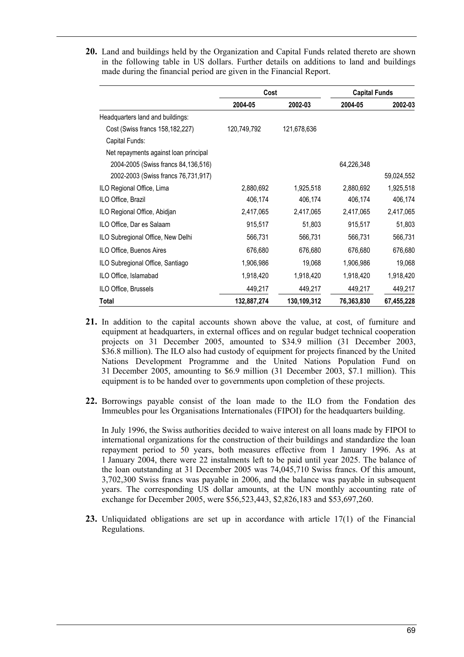**20.** Land and buildings held by the Organization and Capital Funds related thereto are shown in the following table in US dollars. Further details on additions to land and buildings made during the financial period are given in the Financial Report.

|                                       | Cost        |             | <b>Capital Funds</b> |            |
|---------------------------------------|-------------|-------------|----------------------|------------|
|                                       | 2004-05     | 2002-03     | 2004-05              | 2002-03    |
| Headquarters land and buildings:      |             |             |                      |            |
| Cost (Swiss francs 158,182,227)       | 120,749,792 | 121,678,636 |                      |            |
| Capital Funds:                        |             |             |                      |            |
| Net repayments against loan principal |             |             |                      |            |
| 2004-2005 (Swiss francs 84,136,516)   |             |             | 64,226,348           |            |
| 2002-2003 (Swiss francs 76,731,917)   |             |             |                      | 59,024,552 |
| ILO Regional Office, Lima             | 2,880,692   | 1,925,518   | 2,880,692            | 1,925,518  |
| ILO Office, Brazil                    | 406,174     | 406,174     | 406,174              | 406,174    |
| ILO Regional Office, Abidjan          | 2,417,065   | 2,417,065   | 2,417,065            | 2,417,065  |
| ILO Office, Dar es Salaam             | 915,517     | 51,803      | 915,517              | 51,803     |
| ILO Subregional Office, New Delhi     | 566,731     | 566,731     | 566,731              | 566,731    |
| ILO Office, Buenos Aires              | 676,680     | 676,680     | 676,680              | 676,680    |
| ILO Subregional Office, Santiago      | 1,906,986   | 19,068      | 1,906,986            | 19,068     |
| ILO Office, Islamabad                 | 1,918,420   | 1,918,420   | 1,918,420            | 1,918,420  |
| ILO Office, Brussels                  | 449,217     | 449,217     | 449,217              | 449,217    |
| <b>Total</b>                          | 132,887,274 | 130,109,312 | 76,363,830           | 67,455,228 |

- **21.** In addition to the capital accounts shown above the value, at cost, of furniture and equipment at headquarters, in external offices and on regular budget technical cooperation projects on 31 December 2005, amounted to \$34.9 million (31 December 2003, \$36.8 million). The ILO also had custody of equipment for projects financed by the United Nations Development Programme and the United Nations Population Fund on 31 December 2005, amounting to \$6.9 million (31 December 2003, \$7.1 million). This equipment is to be handed over to governments upon completion of these projects.
- **22.** Borrowings payable consist of the loan made to the ILO from the Fondation des Immeubles pour les Organisations Internationales (FIPOI) for the headquarters building.

In July 1996, the Swiss authorities decided to waive interest on all loans made by FIPOI to international organizations for the construction of their buildings and standardize the loan repayment period to 50 years, both measures effective from 1 January 1996. As at 1 January 2004, there were 22 instalments left to be paid until year 2025. The balance of the loan outstanding at 31 December 2005 was 74,045,710 Swiss francs. Of this amount, 3,702,300 Swiss francs was payable in 2006, and the balance was payable in subsequent years. The corresponding US dollar amounts, at the UN monthly accounting rate of exchange for December 2005, were \$56,523,443, \$2,826,183 and \$53,697,260.

**23.** Unliquidated obligations are set up in accordance with article 17(1) of the Financial Regulations.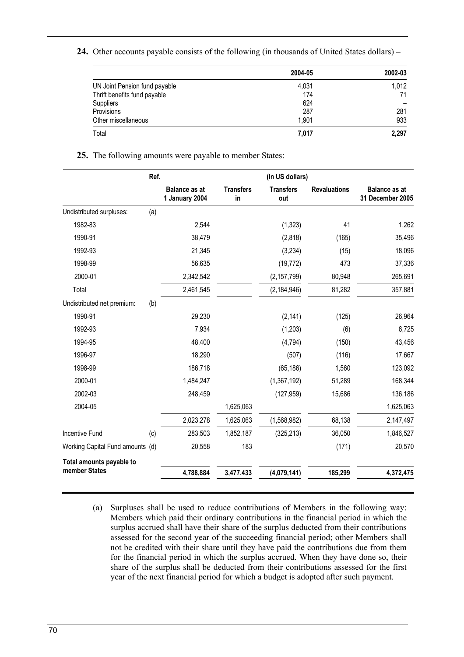**24.** Other accounts payable consists of the following (in thousands of United States dollars) –

|                               | 2004-05 | 2002-03 |
|-------------------------------|---------|---------|
| UN Joint Pension fund payable | 4,031   | 1,012   |
| Thrift benefits fund payable  | 174     | 71      |
| Suppliers                     | 624     |         |
| Provisions                    | 287     | 281     |
| Other miscellaneous           | 1.901   | 933     |
| Total                         | 7,017   | 2,297   |

#### **25.** The following amounts were payable to member States:

|                                  | Ref. |                                        |                        | (In US dollars)         |                     |                                          |
|----------------------------------|------|----------------------------------------|------------------------|-------------------------|---------------------|------------------------------------------|
|                                  |      | <b>Balance as at</b><br>1 January 2004 | <b>Transfers</b><br>in | <b>Transfers</b><br>out | <b>Revaluations</b> | <b>Balance as at</b><br>31 December 2005 |
| Undistributed surpluses:         | (a)  |                                        |                        |                         |                     |                                          |
| 1982-83                          |      | 2,544                                  |                        | (1, 323)                | 41                  | 1,262                                    |
| 1990-91                          |      | 38,479                                 |                        | (2,818)                 | (165)               | 35,496                                   |
| 1992-93                          |      | 21,345                                 |                        | (3,234)                 | (15)                | 18,096                                   |
| 1998-99                          |      | 56,635                                 |                        | (19, 772)               | 473                 | 37,336                                   |
| 2000-01                          |      | 2,342,542                              |                        | (2, 157, 799)           | 80,948              | 265,691                                  |
| Total                            |      | 2,461,545                              |                        | (2, 184, 946)           | 81,282              | 357,881                                  |
| Undistributed net premium:       | (b)  |                                        |                        |                         |                     |                                          |
| 1990-91                          |      | 29,230                                 |                        | (2, 141)                | (125)               | 26,964                                   |
| 1992-93                          |      | 7,934                                  |                        | (1,203)                 | (6)                 | 6,725                                    |
| 1994-95                          |      | 48,400                                 |                        | (4, 794)                | (150)               | 43,456                                   |
| 1996-97                          |      | 18,290                                 |                        | (507)                   | (116)               | 17,667                                   |
| 1998-99                          |      | 186,718                                |                        | (65, 186)               | 1,560               | 123,092                                  |
| 2000-01                          |      | 1,484,247                              |                        | (1,367,192)             | 51,289              | 168,344                                  |
| 2002-03                          |      | 248,459                                |                        | (127, 959)              | 15,686              | 136,186                                  |
| 2004-05                          |      |                                        | 1,625,063              |                         |                     | 1,625,063                                |
|                                  |      | 2,023,278                              | 1,625,063              | (1,568,982)             | 68,138              | 2,147,497                                |
| <b>Incentive Fund</b>            | (c)  | 283,503                                | 1,852,187              | (325, 213)              | 36,050              | 1,846,527                                |
| Working Capital Fund amounts (d) |      | 20,558                                 | 183                    |                         | (171)               | 20,570                                   |
| Total amounts payable to         |      |                                        |                        |                         |                     |                                          |
| member States                    |      | 4,788,884                              | 3,477,433              | (4,079,141)             | 185,299             | 4,372,475                                |

(a) Surpluses shall be used to reduce contributions of Members in the following way: Members which paid their ordinary contributions in the financial period in which the surplus accrued shall have their share of the surplus deducted from their contributions assessed for the second year of the succeeding financial period; other Members shall not be credited with their share until they have paid the contributions due from them for the financial period in which the surplus accrued. When they have done so, their share of the surplus shall be deducted from their contributions assessed for the first year of the next financial period for which a budget is adopted after such payment.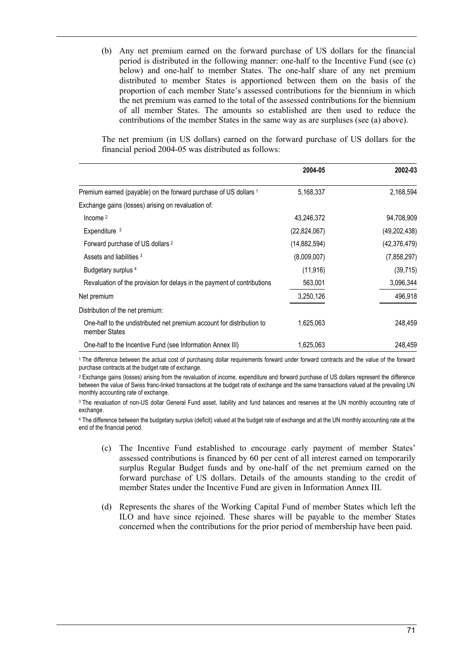(b) Any net premium earned on the forward purchase of US dollars for the financial period is distributed in the following manner: one-half to the Incentive Fund (see (c) below) and one-half to member States. The one-half share of any net premium distributed to member States is apportioned between them on the basis of the proportion of each member State's assessed contributions for the biennium in which the net premium was earned to the total of the assessed contributions for the biennium of all member States. The amounts so established are then used to reduce the contributions of the member States in the same way as are surpluses (see (a) above).

The net premium (in US dollars) earned on the forward purchase of US dollars for the financial period 2004-05 was distributed as follows:

|                                                                                        | 2004-05      | 2002-03        |
|----------------------------------------------------------------------------------------|--------------|----------------|
| Premium earned (payable) on the forward purchase of US dollars 1                       | 5,168,337    | 2,168,594      |
| Exchange gains (losses) arising on revaluation of:                                     |              |                |
| Income $2$                                                                             | 43,246,372   | 94,708,909     |
| Expenditure <sup>2</sup>                                                               | (22,824,067) | (49, 202, 438) |
| Forward purchase of US dollars 2                                                       | (14,882,594) | (42, 376, 479) |
| Assets and liabilities 3                                                               | (8,009,007)  | (7,858,297)    |
| Budgetary surplus <sup>4</sup>                                                         | (11, 916)    | (39,715)       |
| Revaluation of the provision for delays in the payment of contributions                | 563,001      | 3,096,344      |
| Net premium                                                                            | 3,250,126    | 496,918        |
| Distribution of the net premium:                                                       |              |                |
| One-half to the undistributed net premium account for distribution to<br>member States | 1,625,063    | 248,459        |
| One-half to the Incentive Fund (see Information Annex III)                             | 1,625,063    | 248,459        |

1 The difference between the actual cost of purchasing dollar requirements forward under forward contracts and the value of the forward purchase contracts at the budget rate of exchange.

2 Exchange gains (losses) arising from the revaluation of income, expenditure and forward purchase of US dollars represent the difference between the value of Swiss franc-linked transactions at the budget rate of exchange and the same transactions valued at the prevailing UN monthly accounting rate of exchange.

3 The revaluation of non-US dollar General Fund asset, liability and fund balances and reserves at the UN monthly accounting rate of exchange

4 The difference between the budgetary surplus (deficit) valued at the budget rate of exchange and at the UN monthly accounting rate at the end of the financial period.

- (c) The Incentive Fund established to encourage early payment of member Statesí assessed contributions is financed by 60 per cent of all interest earned on temporarily surplus Regular Budget funds and by one-half of the net premium earned on the forward purchase of US dollars. Details of the amounts standing to the credit of member States under the Incentive Fund are given in Information Annex III.
- (d) Represents the shares of the Working Capital Fund of member States which left the ILO and have since rejoined. These shares will be payable to the member States concerned when the contributions for the prior period of membership have been paid.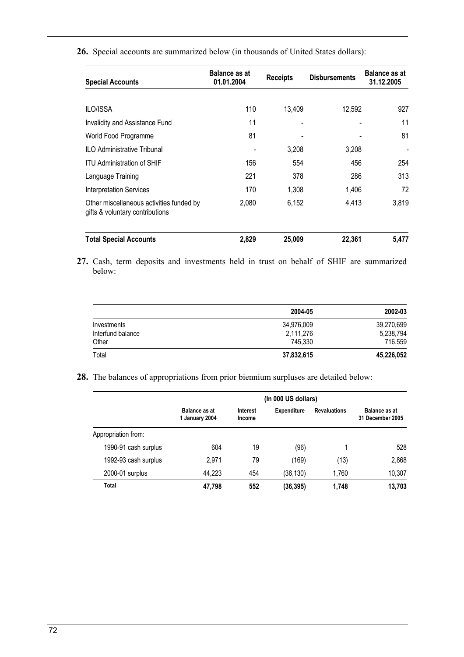| <b>Special Accounts</b>                                                     | <b>Balance as at</b><br>01.01.2004 | <b>Disbursements</b><br><b>Receipts</b> |        | <b>Balance as at</b><br>31.12.2005 |  |
|-----------------------------------------------------------------------------|------------------------------------|-----------------------------------------|--------|------------------------------------|--|
|                                                                             |                                    |                                         |        |                                    |  |
| <b>ILO/ISSA</b>                                                             | 110                                | 13,409                                  | 12,592 | 927                                |  |
| Invalidity and Assistance Fund                                              | 11                                 | ٠                                       |        | 11                                 |  |
| World Food Programme                                                        | 81                                 |                                         |        | 81                                 |  |
| <b>ILO Administrative Tribunal</b>                                          |                                    | 3,208                                   | 3,208  |                                    |  |
| <b>ITU Administration of SHIF</b>                                           | 156                                | 554                                     | 456    | 254                                |  |
| Language Training                                                           | 221                                | 378                                     | 286    | 313                                |  |
| <b>Interpretation Services</b>                                              | 170                                | 1,308                                   | 1,406  | 72                                 |  |
| Other miscellaneous activities funded by<br>gifts & voluntary contributions | 2,080                              | 6,152                                   | 4,413  | 3,819                              |  |
| <b>Total Special Accounts</b>                                               | 2,829                              | 25,009                                  | 22,361 | 5,477                              |  |

**26.** Special accounts are summarized below (in thousands of United States dollars):

**27.** Cash, term deposits and investments held in trust on behalf of SHIF are summarized below:

|                   | 2004-05    | 2002-03    |
|-------------------|------------|------------|
| Investments       | 34,976,009 | 39,270,699 |
| Interfund balance | 2,111,276  | 5,238,794  |
| Other             | 745.330    | 716,559    |
| Total             | 37,832,615 | 45,226,052 |

**28.** The balances of appropriations from prior biennium surpluses are detailed below:

|                      | (In 000 US dollars)             |                           |                    |                     |                                          |  |  |
|----------------------|---------------------------------|---------------------------|--------------------|---------------------|------------------------------------------|--|--|
|                      | Balance as at<br>1 January 2004 | Interest<br><b>Income</b> | <b>Expenditure</b> | <b>Revaluations</b> | Balance as at<br><b>31 December 2005</b> |  |  |
| Appropriation from:  |                                 |                           |                    |                     |                                          |  |  |
| 1990-91 cash surplus | 604                             | 19                        | (96)               |                     | 528                                      |  |  |
| 1992-93 cash surplus | 2.971                           | 79                        | (169)              | (13)                | 2,868                                    |  |  |
| 2000-01 surplus      | 44.223                          | 454                       | (36, 130)          | 1.760               | 10,307                                   |  |  |
| Total                | 47,798                          | 552                       | (36, 395)          | 1,748               | 13,703                                   |  |  |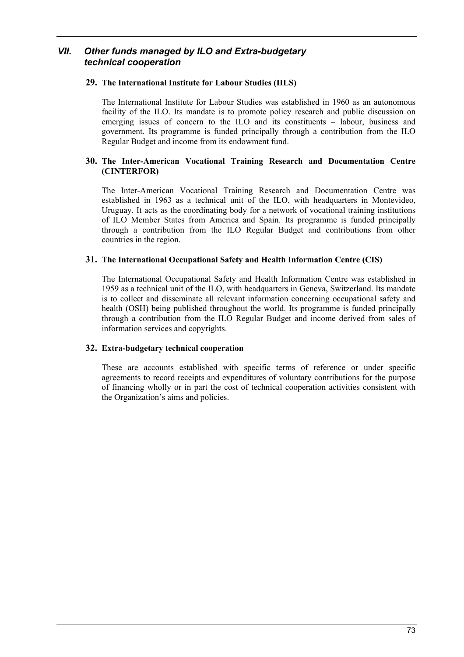### *VII. Other funds managed by ILO and Extra-budgetary technical cooperation*

#### **29. The International Institute for Labour Studies (IILS)**

The International Institute for Labour Studies was established in 1960 as an autonomous facility of the ILO. Its mandate is to promote policy research and public discussion on emerging issues of concern to the ILO and its constituents  $-$  labour, business and government. Its programme is funded principally through a contribution from the ILO Regular Budget and income from its endowment fund.

#### **30. The Inter-American Vocational Training Research and Documentation Centre (CINTERFOR)**

The Inter-American Vocational Training Research and Documentation Centre was established in 1963 as a technical unit of the ILO, with headquarters in Montevideo, Uruguay. It acts as the coordinating body for a network of vocational training institutions of ILO Member States from America and Spain. Its programme is funded principally through a contribution from the ILO Regular Budget and contributions from other countries in the region.

#### **31. The International Occupational Safety and Health Information Centre (CIS)**

The International Occupational Safety and Health Information Centre was established in 1959 as a technical unit of the ILO, with headquarters in Geneva, Switzerland. Its mandate is to collect and disseminate all relevant information concerning occupational safety and health (OSH) being published throughout the world. Its programme is funded principally through a contribution from the ILO Regular Budget and income derived from sales of information services and copyrights.

#### **32. Extra-budgetary technical cooperation**

These are accounts established with specific terms of reference or under specific agreements to record receipts and expenditures of voluntary contributions for the purpose of financing wholly or in part the cost of technical cooperation activities consistent with the Organization's aims and policies.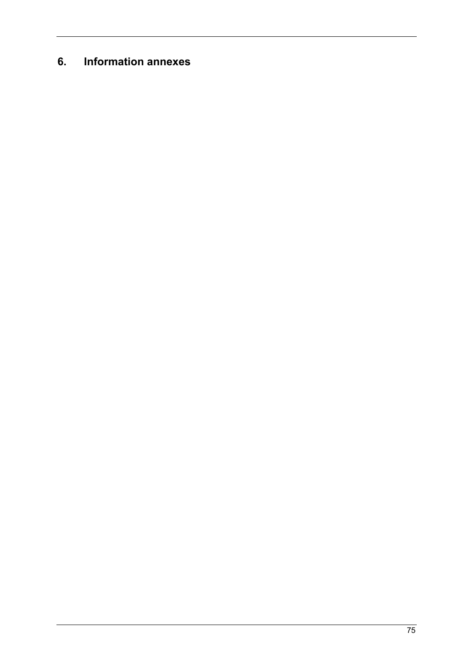# **6. Information annexes**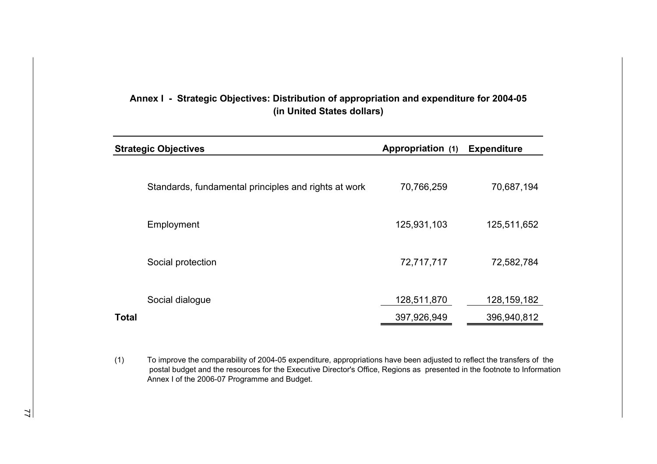|              | <b>Strategic Objectives</b>                          | Appropriation (1) | <b>Expenditure</b> |
|--------------|------------------------------------------------------|-------------------|--------------------|
|              |                                                      |                   |                    |
|              | Standards, fundamental principles and rights at work | 70,766,259        | 70,687,194         |
|              | Employment                                           | 125,931,103       | 125,511,652        |
|              | Social protection                                    | 72,717,717        | 72,582,784         |
|              | Social dialogue                                      | 128,511,870       | 128, 159, 182      |
| <b>Total</b> |                                                      | 397,926,949       | 396,940,812        |

## **Annex I - Strategic Objectives: Distribution of appropriation and expenditure for 2004-05 (in United States dollars)**

(1) To improve the comparability of 2004-05 expenditure, appropriations have been adjusted to reflect the transfers of the postal budget and the resources for the Executive Director's Office, Regions as presented in the footnote to Information Annex I of the 2006-07 Programme and Budget.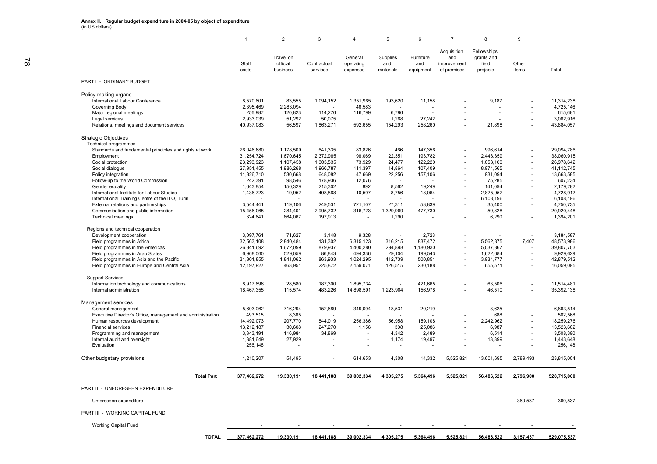|                                                            |                |                                   | 3                       |                                  | 5                            | 6                             |                                                  |                                                 | 9              |             |
|------------------------------------------------------------|----------------|-----------------------------------|-------------------------|----------------------------------|------------------------------|-------------------------------|--------------------------------------------------|-------------------------------------------------|----------------|-------------|
|                                                            | Staff<br>costs | Travel on<br>official<br>business | Contractual<br>services | General<br>operating<br>expenses | Supplies<br>and<br>materials | Furniture<br>and<br>equipment | Acquisition<br>and<br>improvement<br>of premises | Fellowships,<br>grants and<br>field<br>projects | Other<br>items | Total       |
| PART I - ORDINARY BUDGET                                   |                |                                   |                         |                                  |                              |                               |                                                  |                                                 |                |             |
| Policy-making organs                                       |                |                                   |                         |                                  |                              |                               |                                                  |                                                 |                |             |
| International Labour Conference                            | 8,570,601      | 83,555                            | 1,094,152               | 1,351,965                        | 193,620                      | 11,158                        |                                                  | 9,187                                           |                | 11,314,238  |
| Governing Body                                             | 2,395,469      | 2,283,094                         |                         | 46,583                           |                              |                               |                                                  |                                                 |                | 4,725,146   |
| Major regional meetings                                    | 256,987        | 120,823                           | 114,276                 | 116,799                          | 6,796                        |                               |                                                  |                                                 |                | 615,681     |
| Legal services                                             | 2,933,039      | 51,292                            | 50,075                  |                                  | 1,268                        | 27,242                        |                                                  |                                                 | J.             | 3,062,916   |
| Relations, meetings and document services                  | 40,937,083     | 56,597                            | 1,863,271               | 592,655                          | 154,293                      | 258,260                       |                                                  | 21,898                                          |                | 43,884,057  |
| <b>Strategic Objectives</b><br>Technical programmes        |                |                                   |                         |                                  |                              |                               |                                                  |                                                 |                |             |
| Standards and fundamental principles and rights at work    | 26,046,680     | 1,178,509                         | 641,335                 | 83,826                           | 466                          | 147,356                       |                                                  | 996,614                                         |                | 29,094,786  |
| Employment                                                 | 31,254,724     | 1,670,645                         | 2,372,985               | 98,069                           | 22,351                       | 193,782                       |                                                  | 2,448,359                                       |                | 38,060,915  |
| Social protection                                          | 23,293,923     | 1,107,458                         | 1,303,535               | 73,929                           | 24,477                       | 122,220                       |                                                  | 1,053,100                                       |                | 26,978,642  |
| Social dialogue                                            | 27,951,455     | 1,986,268                         | 1,966,787               | 111,397                          | 14,864                       | 107,409                       |                                                  | 8,974,565                                       | ä,             | 41,112,745  |
| Policy integration                                         | 11,326,710     | 530,668                           | 648,082                 | 47,669                           | 22,256                       | 157,106                       |                                                  | 931,094                                         |                | 13,663,585  |
| Follow-up to the World Commission                          | 242,391        | 98,546                            | 178,936                 | 12,076                           | $\overline{a}$               |                               |                                                  | 75,285                                          |                | 607,234     |
| Gender equality                                            | 1,643,854      | 150,329                           | 215,302                 | 892                              | 8.562                        | 19,249                        |                                                  | 141,094                                         |                | 2,179,282   |
| International Institute for Labour Studies                 | 1,436,723      | 19,952                            | 408,868                 | 10,597                           | 8,756                        | 18,064                        |                                                  | 2,825,952                                       |                | 4,728,912   |
| International Training Centre of the ILO, Turin            |                |                                   |                         |                                  |                              |                               |                                                  | 6,108,196                                       | ä,             | 6,108,196   |
| External relations and partnerships                        | 3,544,441      | 119,106                           | 249,531                 | 721,107                          | 27,311                       | 53,839                        |                                                  | 35,400                                          | ÷.             | 4,750,735   |
| Communication and public information                       | 15,456,065     | 284,401                           | 2,995,732               | 316,723                          | 1,329,969                    | 477,730                       |                                                  | 59,828                                          | J.             | 20,920,448  |
| <b>Technical meetings</b>                                  | 324,641        | 864,067                           | 197,913                 |                                  | 1,290                        |                               |                                                  | 6,290                                           |                | 1,394,201   |
| Regions and technical cooperation                          |                |                                   |                         |                                  |                              |                               |                                                  |                                                 |                |             |
| Development cooperation                                    | 3,097,761      | 71,627                            | 3,148                   | 9,328                            |                              | 2,723                         |                                                  |                                                 |                | 3,184,587   |
| Field programmes in Africa                                 | 32,563,108     | 2,840,484                         | 131,302                 | 6,315,123                        | 316,215                      | 837,472                       |                                                  | 5,562,875                                       | 7,407          | 48,573,986  |
| Field programmes in the Americas                           | 26,341,692     | 1,672,099                         | 879,937                 | 4,400,280                        | 294,898                      | 1,180,930                     |                                                  | 5,037,867                                       |                | 39,807,703  |
| Field programmes in Arab States                            | 6,968,060      | 529,059                           | 86,843                  | 494,336                          | 29,104                       | 199,543                       |                                                  | 1,622,684                                       |                | 9,929,629   |
| Field programmes in Asia and the Pacific                   | 31,301,855     | 1,841,062                         | 863,933                 | 4,024,295                        | 412,739                      | 500,851                       |                                                  | 3,934,777                                       | ÷,             | 42,879,512  |
| Field programmes in Europe and Central Asia                | 12, 197, 927   | 463,951                           | 225,872                 | 2,159,071                        | 126,515                      | 230,188                       |                                                  | 655,571                                         |                | 16,059,095  |
| <b>Support Services</b>                                    |                |                                   |                         |                                  |                              |                               |                                                  |                                                 |                |             |
| Information technology and communications                  | 8,917,696      | 28,580                            | 187,300                 | 1,895,734                        |                              | 421,665                       |                                                  | 63,506                                          |                | 11,514,481  |
| Internal administration                                    | 18,467,355     | 115,574                           | 483,226                 | 14,898,591                       | 1,223,904                    | 156,978                       |                                                  | 46,510                                          |                | 35,392,138  |
| Management services                                        |                |                                   |                         |                                  |                              |                               |                                                  |                                                 |                |             |
| General management                                         | 5,603,062      | 716,294                           | 152,689                 | 349,094                          | 18,531                       | 20,219                        |                                                  | 3,625                                           |                | 6,863,514   |
| Executive Director's Office, management and administration | 493,515        | 8,365                             |                         |                                  |                              |                               |                                                  | 688                                             |                | 502,568     |
| Human resources development                                | 14,492,073     | 207,770                           | 844,019                 | 256,386                          | 56,958                       | 159,108                       |                                                  | 2,242,962                                       |                | 18,259,276  |
| <b>Financial services</b>                                  | 13,212,187     | 30,608                            | 247,270                 | 1,156                            | 308                          | 25,086                        |                                                  | 6,987                                           |                | 13,523,602  |
| Programming and management                                 | 3,343,191      | 116,984                           | 34,869                  |                                  | 4,342                        | 2,489                         |                                                  | 6,514                                           |                | 3,508,390   |
| Internal audit and oversight                               | 1,381,649      | 27,929                            |                         |                                  | 1,174                        | 19,497                        |                                                  | 13,399                                          |                | 1,443,648   |
| Evaluation                                                 | 256,148        |                                   |                         |                                  |                              |                               |                                                  |                                                 |                | 256,148     |
| Other budgetary provisions                                 | 1,210,207      | 54,495                            |                         | 614,653                          | 4,308                        | 14,332                        | 5,525,821                                        | 13,601,695                                      | 2,789,493      | 23,815,004  |
| <b>Total Part I</b>                                        | 377,462,272    | 19,330,191                        | 18,441,188              | 39,002,334                       | 4,305,275                    | 5,364,496                     | 5,525,821                                        | 56,486,522                                      | 2,796,900      | 528,715,000 |
| PART II - UNFORESEEN EXPENDITURE                           |                |                                   |                         |                                  |                              |                               |                                                  |                                                 |                |             |
|                                                            |                |                                   |                         |                                  |                              |                               |                                                  |                                                 |                |             |
| Unforeseen expenditure                                     |                |                                   |                         |                                  |                              |                               |                                                  |                                                 | 360,537        | 360.537     |
| PART III - WORKING CAPITAL FUND                            |                |                                   |                         |                                  |                              |                               |                                                  |                                                 |                |             |
| <b>Working Capital Fund</b>                                |                |                                   |                         |                                  |                              |                               |                                                  |                                                 |                |             |
| <b>TOTAL</b>                                               | 377.462.272    | 19.330.191                        | 18.441.188              | 39.002.334                       | 4.305.275                    | 5.364.496                     | 5.525.821                                        | 56.486.522                                      | 3.157.437      | 529.075.537 |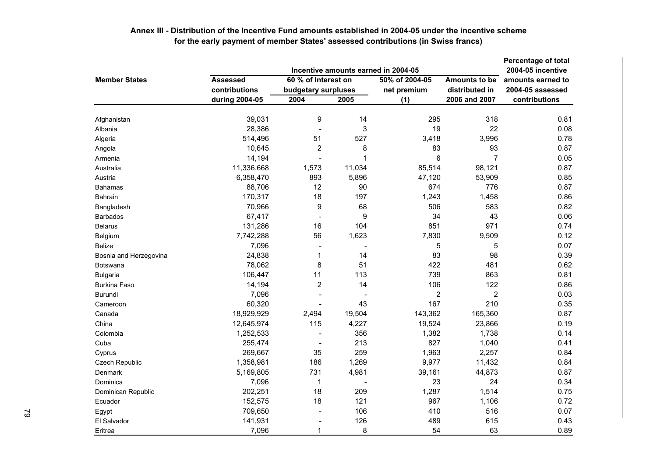|                        |                 |                          |        | Incentive amounts earned in 2004-05 |                | Percentage of total |
|------------------------|-----------------|--------------------------|--------|-------------------------------------|----------------|---------------------|
|                        |                 | 2004-05 incentive        |        |                                     |                |                     |
| <b>Member States</b>   | <b>Assessed</b> | 60 % of Interest on      |        | 50% of 2004-05                      | Amounts to be  | amounts earned to   |
|                        | contributions   | budgetary surpluses      |        | net premium                         | distributed in | 2004-05 assessed    |
|                        | during 2004-05  | 2004                     | 2005   | (1)                                 | 2006 and 2007  | contributions       |
| Afghanistan            | 39,031          | 9                        | 14     | 295                                 | 318            | 0.81                |
| Albania                | 28,386          | ٠                        | 3      | 19                                  | 22             | 0.08                |
| Algeria                | 514,496         | 51                       | 527    | 3,418                               | 3,996          | 0.78                |
| Angola                 | 10,645          | 2                        | 8      | 83                                  | 93             | 0.87                |
| Armenia                | 14,194          | $\blacksquare$           | 1      | 6                                   | $\overline{7}$ | 0.05                |
| Australia              | 11,336,668      | 1,573                    | 11,034 | 85,514                              | 98,121         | 0.87                |
| Austria                | 6,358,470       | 893                      | 5,896  | 47,120                              | 53,909         | 0.85                |
| <b>Bahamas</b>         | 88,706          | 12                       | 90     | 674                                 | 776            | 0.87                |
| <b>Bahrain</b>         | 170,317         | 18                       | 197    | 1,243                               | 1,458          | 0.86                |
| Bangladesh             | 70,966          | 9                        | 68     | 506                                 | 583            | 0.82                |
| <b>Barbados</b>        | 67,417          | $\overline{\phantom{a}}$ | 9      | 34                                  | 43             | 0.06                |
| <b>Belarus</b>         | 131,286         | 16                       | 104    | 851                                 | 971            | 0.74                |
| Belgium                | 7,742,288       | 56                       | 1,623  | 7,830                               | 9,509          | 0.12                |
| <b>Belize</b>          | 7,096           |                          |        | 5                                   | 5              | 0.07                |
| Bosnia and Herzegovina | 24,838          | 1                        | 14     | 83                                  | 98             | 0.39                |
| <b>Botswana</b>        | 78,062          | 8                        | 51     | 422                                 | 481            | 0.62                |
| <b>Bulgaria</b>        | 106,447         | 11                       | 113    | 739                                 | 863            | 0.81                |
| <b>Burkina Faso</b>    | 14,194          | $\overline{2}$           | 14     | 106                                 | 122            | 0.86                |
| <b>Burundi</b>         | 7,096           | ۰                        |        | $\overline{2}$                      | $\overline{2}$ | 0.03                |
| Cameroon               | 60,320          |                          | 43     | 167                                 | 210            | 0.35                |
| Canada                 | 18,929,929      | 2,494                    | 19,504 | 143,362                             | 165,360        | 0.87                |
| China                  | 12,645,974      | 115                      | 4,227  | 19,524                              | 23,866         | 0.19                |
| Colombia               | 1,252,533       |                          | 356    | 1,382                               | 1,738          | 0.14                |
| Cuba                   | 255,474         | ÷,                       | 213    | 827                                 | 1,040          | 0.41                |
| Cyprus                 | 269,667         | 35                       | 259    | 1,963                               | 2,257          | 0.84                |
| Czech Republic         | 1,358,981       | 186                      | 1,269  | 9,977                               | 11,432         | 0.84                |
| Denmark                | 5,169,805       | 731                      | 4,981  | 39,161                              | 44,873         | 0.87                |
| Dominica               | 7,096           | 1                        |        | 23                                  | 24             | 0.34                |
| Dominican Republic     | 202,251         | 18                       | 209    | 1,287                               | 1,514          | 0.75                |
| Ecuador                | 152,575         | 18                       | 121    | 967                                 | 1,106          | 0.72                |
| Egypt                  | 709,650         | $\overline{\phantom{a}}$ | 106    | 410                                 | 516            | 0.07                |
| El Salvador            | 141,931         | ٠                        | 126    | 489                                 | 615            | 0.43                |
| Eritrea                | 7,096           | 1                        | 8      | 54                                  | 63             | 0.89                |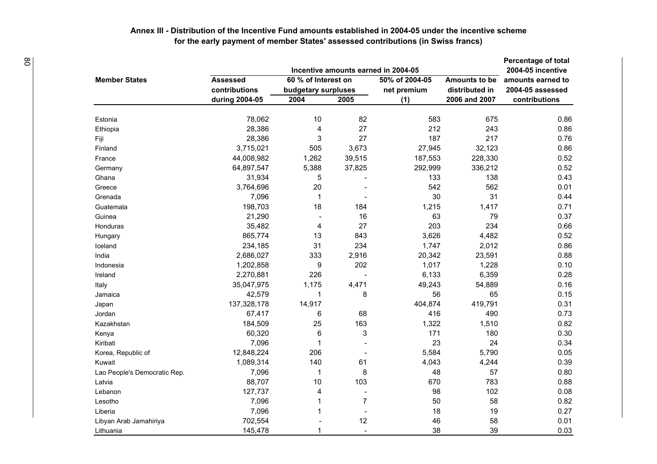| ළ |                              |                 |                         |                          | Incentive amounts earned in 2004-05 |                | <b>Percentage of total</b><br>2004-05 incentive |  |
|---|------------------------------|-----------------|-------------------------|--------------------------|-------------------------------------|----------------|-------------------------------------------------|--|
|   | <b>Member States</b>         | <b>Assessed</b> | 60 % of Interest on     | Amounts to be            | amounts earned to                   |                |                                                 |  |
|   |                              | contributions   | budgetary surpluses     |                          | 50% of 2004-05<br>net premium       | distributed in | 2004-05 assessed                                |  |
|   |                              | during 2004-05  | 2004                    | 2005                     | (1)                                 | 2006 and 2007  | contributions                                   |  |
|   | Estonia                      | 78,062          | 10                      | 82                       | 583                                 | 675            | 0.86                                            |  |
|   | Ethiopia                     | 28,386          | 4                       | 27                       | 212                                 | 243            | 0.86                                            |  |
|   | Fiji                         | 28,386          | 3                       | 27                       | 187                                 | 217            | 0.76                                            |  |
|   | Finland                      | 3,715,021       | 505                     | 3,673                    | 27,945                              | 32,123         | 0.86                                            |  |
|   | France                       | 44,008,982      | 1,262                   | 39,515                   | 187,553                             | 228,330        | 0.52                                            |  |
|   | Germany                      | 64,897,547      | 5,388                   | 37,825                   | 292,999                             | 336,212        | 0.52                                            |  |
|   | Ghana                        | 31,934          | 5                       |                          | 133                                 | 138            | 0.43                                            |  |
|   | Greece                       | 3,764,696       | 20                      |                          | 542                                 | 562            | 0.01                                            |  |
|   | Grenada                      | 7,096           | -1                      |                          | 30                                  | 31             | 0.44                                            |  |
|   | Guatemala                    | 198,703         | 18                      | 184                      | 1,215                               | 1,417          | 0.71                                            |  |
|   | Guinea                       | 21,290          |                         | 16                       | 63                                  | 79             | 0.37                                            |  |
|   | <b>Honduras</b>              | 35,482          | 4                       | 27                       | 203                                 | 234            | 0.66                                            |  |
|   | Hungary                      | 865,774         | 13                      | 843                      | 3,626                               | 4,482          | 0.52                                            |  |
|   | Iceland                      | 234,185         | 31                      | 234                      | 1,747                               | 2,012          | 0.86                                            |  |
|   | India                        | 2,686,027       | 333                     | 2,916                    | 20,342                              | 23,591         | 0.88                                            |  |
|   | Indonesia                    | 1,202,858       | 9                       | 202                      | 1,017                               | 1,228          | 0.10                                            |  |
|   | Ireland                      | 2,270,881       | 226                     |                          | 6,133                               | 6,359          | 0.28                                            |  |
|   | Italy                        | 35,047,975      | 1,175                   | 4,471                    | 49,243                              | 54,889         | 0.16                                            |  |
|   | Jamaica                      | 42,579          | $\mathbf 1$             | 8                        | 56                                  | 65             | 0.15                                            |  |
|   | Japan                        | 137,328,178     | 14,917                  |                          | 404,874                             | 419,791        | 0.31                                            |  |
|   | Jordan                       | 67,417          | 6                       | 68                       | 416                                 | 490            | 0.73                                            |  |
|   | Kazakhstan                   | 184,509         | 25                      | 163                      | 1,322                               | 1,510          | 0.82                                            |  |
|   | Kenya                        | 60,320          | 6                       | 3                        | 171                                 | 180            | 0.30                                            |  |
|   | Kiribati                     | 7,096           |                         |                          | 23                                  | 24             | 0.34                                            |  |
|   | Korea, Republic of           | 12,848,224      | 206                     |                          | 5,584                               | 5,790          | 0.05                                            |  |
|   | Kuwait                       | 1,089,314       | 140                     | 61                       | 4,043                               | 4,244          | 0.39                                            |  |
|   | Lao People's Democratic Rep. | 7,096           | $\mathbf 1$             | 8                        | 48                                  | 57             | 0.80                                            |  |
|   | Latvia                       | 88,707          | 10                      | 103                      | 670                                 | 783            | 0.88                                            |  |
|   | Lebanon                      | 127,737         | $\overline{\mathbf{4}}$ |                          | 98                                  | 102            | 0.08                                            |  |
|   | Lesotho                      | 7,096           | 1                       | $\overline{7}$           | 50                                  | 58             | 0.82                                            |  |
|   | Liberia                      | 7,096           | $\mathbf{1}$            | $\blacksquare$           | 18                                  | 19             | 0.27                                            |  |
|   | Libyan Arab Jamahiriya       | 702,554         |                         | 12                       | 46                                  | 58             | 0.01                                            |  |
|   | Lithuania                    | 145,478         |                         | $\overline{\phantom{a}}$ | 38                                  | 39             | 0.03                                            |  |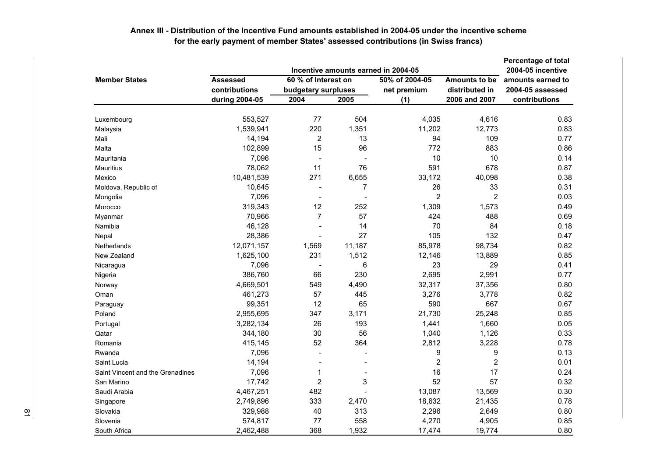|                                  |                 | <b>Percentage of total</b>                 |                          |                               |                                        |                  |
|----------------------------------|-----------------|--------------------------------------------|--------------------------|-------------------------------|----------------------------------------|------------------|
| <b>Member States</b>             | <b>Assessed</b> | 2004-05 incentive<br>amounts earned to     |                          |                               |                                        |                  |
|                                  | contributions   | 60 % of Interest on<br>budgetary surpluses |                          | 50% of 2004-05<br>net premium | <b>Amounts to be</b><br>distributed in | 2004-05 assessed |
|                                  | during 2004-05  | 2004                                       | 2005                     | (1)                           | 2006 and 2007                          | contributions    |
| Luxembourg                       | 553,527         | 77                                         | 504                      | 4,035                         | 4,616                                  | 0.83             |
| Malaysia                         | 1,539,941       | 220                                        | 1,351                    | 11,202                        | 12,773                                 | 0.83             |
| Mali                             | 14,194          | $\overline{c}$                             | 13                       | 94                            | 109                                    | 0.77             |
| Malta                            | 102,899         | 15                                         | 96                       | 772                           | 883                                    | 0.86             |
| Mauritania                       | 7,096           | $\overline{\phantom{a}}$                   | ٠                        | 10                            | 10                                     | 0.14             |
| Mauritius                        | 78,062          | 11                                         | 76                       | 591                           | 678                                    | 0.87             |
| Mexico                           | 10,481,539      | 271                                        | 6,655                    | 33,172                        | 40,098                                 | 0.38             |
| Moldova, Republic of             | 10,645          |                                            | $\overline{7}$           | 26                            | 33                                     | 0.31             |
| Mongolia                         | 7,096           | $\overline{\phantom{a}}$                   | $\overline{\phantom{a}}$ | $\overline{2}$                | $\overline{2}$                         | 0.03             |
| Morocco                          | 319,343         | 12                                         | 252                      | 1,309                         | 1,573                                  | 0.49             |
| Myanmar                          | 70,966          | $\overline{7}$                             | 57                       | 424                           | 488                                    | 0.69             |
| Namibia                          | 46,128          |                                            | 14                       | 70                            | 84                                     | 0.18             |
| Nepal                            | 28,386          | $\overline{\phantom{a}}$                   | 27                       | 105                           | 132                                    | 0.47             |
| Netherlands                      | 12,071,157      | 1,569                                      | 11,187                   | 85,978                        | 98,734                                 | 0.82             |
| New Zealand                      | 1,625,100       | 231                                        | 1,512                    | 12,146                        | 13,889                                 | 0.85             |
| Nicaragua                        | 7,096           |                                            | 6                        | 23                            | 29                                     | 0.41             |
| Nigeria                          | 386,760         | 66                                         | 230                      | 2,695                         | 2,991                                  | 0.77             |
| Norway                           | 4,669,501       | 549                                        | 4,490                    | 32,317                        | 37,356                                 | 0.80             |
| Oman                             | 461,273         | 57                                         | 445                      | 3,276                         | 3,778                                  | 0.82             |
| Paraguay                         | 99,351          | 12                                         | 65                       | 590                           | 667                                    | 0.67             |
| Poland                           | 2,955,695       | 347                                        | 3,171                    | 21,730                        | 25,248                                 | 0.85             |
| Portugal                         | 3,282,134       | 26                                         | 193                      | 1,441                         | 1,660                                  | 0.05             |
| Qatar                            | 344,180         | 30                                         | 56                       | 1,040                         | 1,126                                  | 0.33             |
| Romania                          | 415,145         | 52                                         | 364                      | 2,812                         | 3,228                                  | 0.78             |
| Rwanda                           | 7,096           | $\overline{a}$                             |                          | 9                             | 9                                      | 0.13             |
| Saint Lucia                      | 14,194          |                                            |                          | $\overline{2}$                | $\overline{2}$                         | 0.01             |
| Saint Vincent and the Grenadines | 7,096           | 1                                          |                          | 16                            | 17                                     | 0.24             |
| San Marino                       | 17,742          | $\overline{2}$                             | 3                        | 52                            | 57                                     | 0.32             |
| Saudi Arabia                     | 4,467,251       | 482                                        |                          | 13,087                        | 13,569                                 | 0.30             |
| Singapore                        | 2,749,896       | 333                                        | 2,470                    | 18,632                        | 21,435                                 | 0.78             |
| Slovakia                         | 329,988         | 40                                         | 313                      | 2,296                         | 2,649                                  | 0.80             |
| Slovenia                         | 574,817         | 77                                         | 558                      | 4,270                         | 4,905                                  | 0.85             |
| South Africa                     | 2,462,488       | 368                                        | 1,932                    | 17,474                        | 19,774                                 | 0.80             |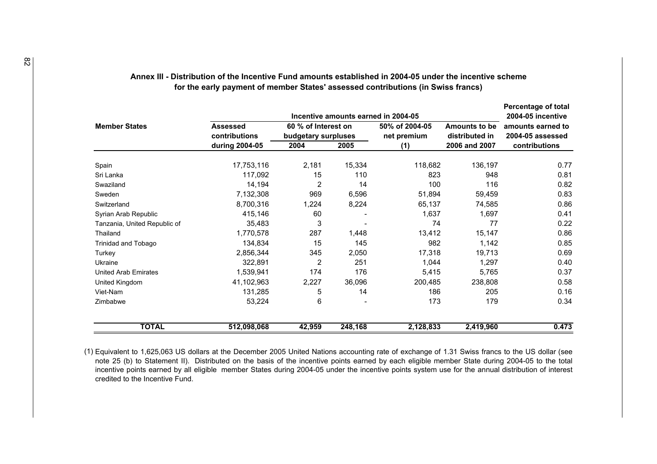|                              |                                                                                | Percentage of total<br>2004-05 incentive |         |                                                                      |                                        |                                       |
|------------------------------|--------------------------------------------------------------------------------|------------------------------------------|---------|----------------------------------------------------------------------|----------------------------------------|---------------------------------------|
| <b>Member States</b>         | 60 % of Interest on<br><b>Assessed</b><br>contributions<br>budgetary surpluses |                                          |         | Incentive amounts earned in 2004-05<br>50% of 2004-05<br>net premium | <b>Amounts to be</b><br>distributed in | amounts earned to<br>2004-05 assessed |
|                              | during 2004-05                                                                 | 2004                                     | 2005    | (1)                                                                  | 2006 and 2007                          | contributions                         |
| Spain                        | 17,753,116                                                                     | 2,181                                    | 15,334  | 118,682                                                              | 136,197                                | 0.77                                  |
| Sri Lanka                    | 117,092                                                                        | 15                                       | 110     | 823                                                                  | 948                                    | 0.81                                  |
| Swaziland                    | 14,194                                                                         | $\overline{2}$                           | 14      | 100                                                                  | 116                                    | 0.82                                  |
| Sweden                       | 7,132,308                                                                      | 969                                      | 6,596   | 51,894                                                               | 59,459                                 | 0.83                                  |
| Switzerland                  | 8,700,316                                                                      | 1,224                                    | 8,224   | 65,137                                                               | 74,585                                 | 0.86                                  |
| Syrian Arab Republic         | 415,146                                                                        | 60                                       |         | 1,637                                                                | 1,697                                  | 0.41                                  |
| Tanzania, United Republic of | 35,483                                                                         | 3                                        |         | 74                                                                   | 77                                     | 0.22                                  |
| Thailand                     | 1,770,578                                                                      | 287                                      | 1,448   | 13,412                                                               | 15,147                                 | 0.86                                  |
| Trinidad and Tobago          | 134,834                                                                        | 15                                       | 145     | 982                                                                  | 1,142                                  | 0.85                                  |
| Turkey                       | 2,856,344                                                                      | 345                                      | 2,050   | 17,318                                                               | 19,713                                 | 0.69                                  |
| Ukraine                      | 322,891                                                                        | 2                                        | 251     | 1,044                                                                | 1,297                                  | 0.40                                  |
| <b>United Arab Emirates</b>  | 1,539,941                                                                      | 174                                      | 176     | 5,415                                                                | 5,765                                  | 0.37                                  |
| United Kingdom               | 41,102,963                                                                     | 2,227                                    | 36,096  | 200,485                                                              | 238,808                                | 0.58                                  |
| Viet-Nam                     | 131,285                                                                        | 5                                        | 14      | 186                                                                  | 205                                    | 0.16                                  |
| Zimbabwe                     | 53,224                                                                         | 6                                        |         | 173                                                                  | 179                                    | 0.34                                  |
| <b>TOTAL</b>                 | 512,098,068                                                                    | 42,959                                   | 248,168 | 2,128,833                                                            | 2,419,960                              | 0.473                                 |

(1) Equivalent to 1,625,063 US dollars at the December 2005 United Nations accounting rate of exchange of 1.31 Swiss francs to the US dollar (see note 25 (b) to Statement II). Distributed on the basis of the incentive points earned by each eligible member State during 2004-05 to the total incentive points earned by all eligible member States during 2004-05 under the incentive points system use for the annual distribution of interest credited to the Incentive Fund.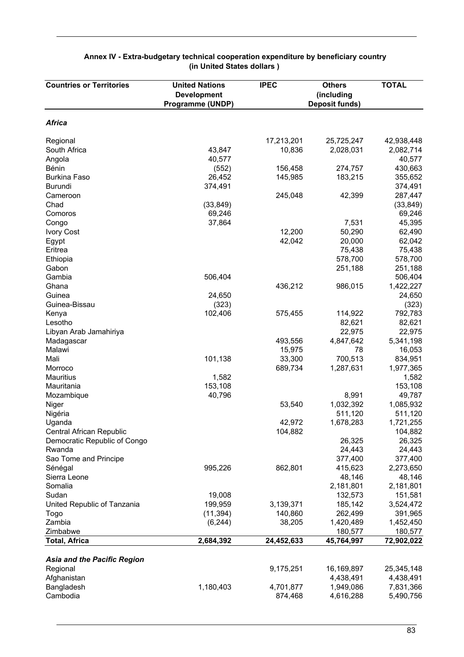| <b>Countries or Territories</b>    | <b>United Nations</b><br><b>Development</b><br>Programme (UNDP) | <b>IPEC</b> | <b>Others</b><br>(including<br><b>Deposit funds)</b> | <b>TOTAL</b> |
|------------------------------------|-----------------------------------------------------------------|-------------|------------------------------------------------------|--------------|
|                                    |                                                                 |             |                                                      |              |
| <b>Africa</b>                      |                                                                 |             |                                                      |              |
| Regional                           |                                                                 | 17,213,201  | 25,725,247                                           | 42,938,448   |
| South Africa                       | 43,847                                                          | 10,836      | 2,028,031                                            | 2,082,714    |
| Angola                             | 40,577                                                          |             |                                                      | 40,577       |
| Bénin                              | (552)                                                           | 156,458     | 274,757                                              | 430,663      |
| <b>Burkina Faso</b>                | 26,452                                                          | 145,985     | 183,215                                              | 355,652      |
| <b>Burundi</b>                     | 374,491                                                         |             |                                                      | 374,491      |
| Cameroon                           |                                                                 | 245,048     | 42,399                                               | 287,447      |
| Chad                               | (33, 849)                                                       |             |                                                      | (33, 849)    |
| Comoros                            | 69,246                                                          |             |                                                      | 69,246       |
| Congo                              | 37,864                                                          |             | 7,531                                                | 45,395       |
| <b>Ivory Cost</b>                  |                                                                 | 12,200      | 50,290                                               | 62,490       |
| Egypt                              |                                                                 | 42,042      | 20,000                                               | 62,042       |
| Eritrea                            |                                                                 |             | 75,438                                               | 75,438       |
| Ethiopia                           |                                                                 |             | 578,700                                              | 578,700      |
| Gabon                              |                                                                 |             | 251,188                                              | 251,188      |
| Gambia                             | 506,404                                                         |             |                                                      | 506,404      |
| Ghana                              |                                                                 | 436,212     | 986,015                                              | 1,422,227    |
| Guinea                             | 24,650                                                          |             |                                                      | 24,650       |
| Guinea-Bissau                      | (323)                                                           |             |                                                      | (323)        |
| Kenya                              | 102,406                                                         | 575,455     | 114,922                                              | 792,783      |
| Lesotho                            |                                                                 |             | 82,621                                               | 82,621       |
| Libyan Arab Jamahiriya             |                                                                 |             | 22,975                                               | 22,975       |
| Madagascar                         |                                                                 | 493,556     | 4,847,642                                            | 5,341,198    |
| Malawi                             |                                                                 | 15,975      | 78                                                   | 16,053       |
| Mali                               | 101,138                                                         | 33,300      | 700,513                                              | 834,951      |
| Morroco                            |                                                                 | 689,734     | 1,287,631                                            | 1,977,365    |
| <b>Mauritius</b>                   | 1,582                                                           |             |                                                      | 1,582        |
| Mauritania                         | 153,108                                                         |             |                                                      | 153,108      |
| Mozambique                         | 40,796                                                          |             | 8,991                                                | 49,787       |
| Niger                              |                                                                 | 53,540      | 1,032,392                                            | 1,085,932    |
| Nigéria                            |                                                                 |             | 511,120                                              | 511,120      |
| Uganda                             |                                                                 | 42,972      | 1,678,283                                            | 1,721,255    |
| Central African Republic           |                                                                 | 104,882     |                                                      | 104,882      |
| Democratic Republic of Congo       |                                                                 |             | 26,325                                               | 26,325       |
| Rwanda                             |                                                                 |             | 24,443                                               | 24,443       |
| Sao Tome and Principe              |                                                                 |             | 377,400                                              | 377,400      |
| Sénégal                            | 995,226                                                         | 862,801     | 415,623                                              | 2,273,650    |
| Sierra Leone                       |                                                                 |             | 48,146                                               | 48,146       |
| Somalia                            |                                                                 |             | 2,181,801                                            | 2,181,801    |
| Sudan                              | 19,008                                                          |             | 132,573                                              | 151,581      |
| United Republic of Tanzania        | 199,959                                                         | 3,139,371   | 185,142                                              | 3,524,472    |
| Togo                               | (11, 394)                                                       | 140,860     | 262,499                                              | 391,965      |
| Zambia                             | (6, 244)                                                        | 38,205      | 1,420,489                                            | 1,452,450    |
| Zimbabwe                           |                                                                 |             | 180,577                                              | 180,577      |
| <b>Total, Africa</b>               | 2,684,392                                                       | 24,452,633  | 45,764,997                                           | 72,902,022   |
|                                    |                                                                 |             |                                                      |              |
| <b>Asia and the Pacific Region</b> |                                                                 |             |                                                      |              |
| Regional                           |                                                                 | 9,175,251   | 16,169,897                                           | 25,345,148   |
| Afghanistan                        |                                                                 |             | 4,438,491                                            | 4,438,491    |
| Bangladesh                         | 1,180,403                                                       | 4,701,877   | 1,949,086                                            | 7,831,366    |
| Cambodia                           |                                                                 | 874,468     | 4,616,288                                            | 5,490,756    |

#### **Annex IV - Extra-budgetary technical cooperation expenditure by beneficiary country (in United States dollars )**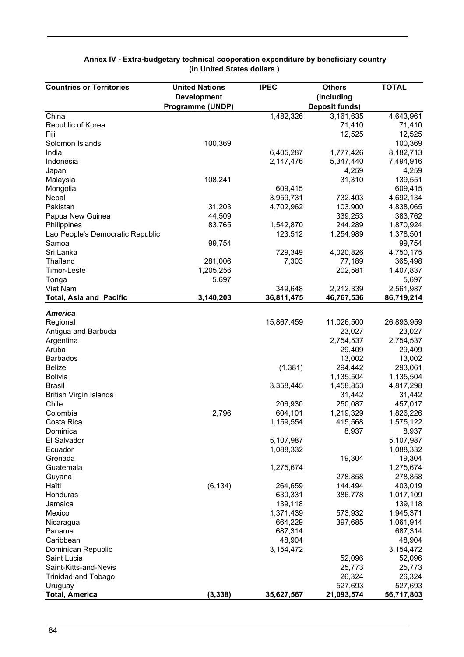| <b>Countries or Territories</b>  | <b>United Nations</b> | <b>IPEC</b> | <b>Others</b>         | <b>TOTAL</b> |
|----------------------------------|-----------------------|-------------|-----------------------|--------------|
|                                  | <b>Development</b>    |             | (including            |              |
|                                  | Programme (UNDP)      |             | <b>Deposit funds)</b> |              |
| China                            |                       | 1,482,326   | 3,161,635             | 4,643,961    |
| Republic of Korea                |                       |             | 71,410                | 71,410       |
| Fiji                             |                       |             | 12,525                | 12,525       |
| Solomon Islands                  | 100,369               |             |                       | 100,369      |
| India                            |                       | 6,405,287   | 1,777,426             | 8,182,713    |
| Indonesia                        |                       | 2,147,476   | 5,347,440             | 7,494,916    |
| Japan                            |                       |             | 4,259                 | 4,259        |
| Malaysia                         | 108,241               |             | 31,310                | 139,551      |
| Mongolia                         |                       | 609,415     |                       | 609,415      |
| Nepal                            |                       | 3,959,731   | 732,403               | 4,692,134    |
| Pakistan                         | 31,203                | 4,702,962   | 103,900               | 4,838,065    |
| Papua New Guinea                 | 44,509                |             | 339,253               | 383,762      |
| Philippines                      | 83,765                | 1,542,870   | 244,289               | 1,870,924    |
| Lao People's Democratic Republic |                       | 123,512     | 1,254,989             | 1,378,501    |
| Samoa                            | 99,754                |             |                       | 99,754       |
| Sri Lanka                        |                       | 729,349     | 4,020,826             | 4,750,175    |
| Thaïland                         | 281,006               | 7,303       | 77,189                | 365,498      |
| Timor-Leste                      | 1,205,256             |             | 202,581               | 1,407,837    |
| Tonga                            | 5,697                 |             |                       | 5,697        |
| Viet Nam                         |                       | 349,648     | 2,212,339             | 2,561,987    |
| <b>Total, Asia and Pacific</b>   | 3,140,203             | 36,811,475  | 46,767,536            | 86,719,214   |
|                                  |                       |             |                       |              |
| <b>America</b>                   |                       |             |                       |              |
| Regional                         |                       | 15,867,459  | 11,026,500            | 26,893,959   |
| Antigua and Barbuda              |                       |             | 23,027                | 23,027       |
| Argentina                        |                       |             | 2,754,537             | 2,754,537    |
| Aruba                            |                       |             | 29,409                | 29,409       |
| <b>Barbados</b>                  |                       |             | 13,002                | 13,002       |
| <b>Belize</b>                    |                       | (1,381)     | 294,442               | 293,061      |
| <b>Bolivia</b>                   |                       |             | 1,135,504             | 1,135,504    |
| <b>Brasil</b>                    |                       | 3,358,445   | 1,458,853             | 4,817,298    |
| <b>British Virgin Islands</b>    |                       |             | 31,442                | 31,442       |
| Chile                            |                       | 206,930     | 250,087               | 457,017      |
| Colombia                         | 2,796                 | 604,101     | 1,219,329             | 1,826,226    |
| Costa Rica                       |                       | 1,159,554   | 415,568               | 1,575,122    |
| Dominica                         |                       |             | 8,937                 | 8,937        |
| El Salvador                      |                       | 5,107,987   |                       | 5,107,987    |
| Ecuador                          |                       | 1,088,332   |                       | 1,088,332    |
| Grenada                          |                       |             | 19,304                | 19,304       |
| Guatemala                        |                       | 1,275,674   |                       | 1,275,674    |
| Guyana                           |                       |             | 278,858               | 278,858      |
| Haïti                            | (6, 134)              | 264,659     | 144,494               | 403,019      |
| Honduras                         |                       | 630,331     | 386,778               | 1,017,109    |
| Jamaica                          |                       | 139,118     |                       | 139,118      |
| Mexico                           |                       | 1,371,439   | 573,932               | 1,945,371    |
| Nicaragua                        |                       | 664,229     | 397,685               | 1,061,914    |
| Panama                           |                       | 687,314     |                       | 687,314      |
| Caribbean                        |                       | 48,904      |                       | 48,904       |
| Dominican Republic               |                       | 3,154,472   |                       | 3,154,472    |
| Saint Lucia                      |                       |             | 52,096                | 52,096       |
| Saint-Kitts-and-Nevis            |                       |             | 25,773                | 25,773       |
| <b>Trinidad and Tobago</b>       |                       |             | 26,324                | 26,324       |
| Uruguay                          |                       |             | 527,693               | 527,693      |
| <b>Total, America</b>            | (3, 338)              | 35,627,567  | 21,093,574            | 56,717,803   |

#### **Annex IV - Extra-budgetary technical cooperation expenditure by beneficiary country (in United States dollars )**